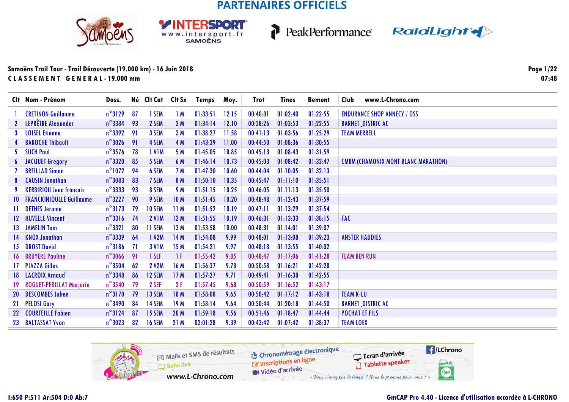SPORT

WWW.intersport.fr







| 01:02:40<br>01:22:55 | <b>ENDURANCE SHOP ANNECY / OSS</b>         |
|----------------------|--------------------------------------------|
|                      |                                            |
|                      | <b>BARNET_DISTRIC AC</b>                   |
| 01:03:56<br>01:25:29 | <b>TEAM MERRELL</b>                        |
| 01:08:36<br>01:30:55 |                                            |
| 01:08:43<br>01:31:59 |                                            |
| 01:08:42<br>01:32:47 | <b>CMBM (CHAMONIX MONT BLANC MARATHON)</b> |
| 01:10:05<br>01:32:13 |                                            |
| 01:11:10<br>01:35:51 |                                            |
| 01:11:13<br>01:35:50 |                                            |
| 01:12:43<br>01:37:59 |                                            |
| 01:13:29<br>01:37:54 |                                            |
| 01:13:33<br>01:38:15 | <b>FAC</b>                                 |
| 01:14:01<br>01:39:07 |                                            |
| 01:13:08<br>01:39:23 | <b>ANSTER HADDIES</b>                      |
| 01:13:55<br>01:40:02 |                                            |
| 01:17:06<br>01:41:28 | <b>TEAM BEN RUN</b>                        |
| 01:16:21<br>01:42:28 |                                            |
| 01:16:38<br>01:42:55 |                                            |
| 01:16:52<br>01:43:17 |                                            |
| 01:17:12<br>01:43:18 | <b>TEAM K-LU</b>                           |
| 01:20:18<br>01:44:50 | <b>BARNET_DISTRIC AC</b>                   |
| 01:18:47<br>01:44:44 | <b>POCHAT ET FILS</b>                      |
| 01:07:42<br>01:38:37 | <b>TEAM LOEX</b>                           |
|                      | 01:03:53<br>01:22:55                       |

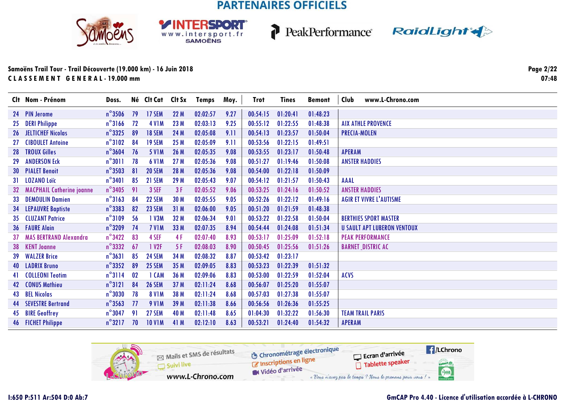**RSDORT** 

WWW.intersport.fr



P



### **Samoëns Trail Tour - Trail Découverte (19.000 km) - 16 Juin 2018C L A S S E M E N T G E N E R A L - 19.000 mm**

**Page 2/2207:48**

|                 | Clt Nom - Prénom                 | Doss.            |    | Né Clt Cat    | Clt Sx | Temps    | Moy. | <b>Trot</b> | <b>Tines</b> | <b>Bemont</b> | www.L-Chrono.com<br>Club           |
|-----------------|----------------------------------|------------------|----|---------------|--------|----------|------|-------------|--------------|---------------|------------------------------------|
|                 | 24 PIN Jerome                    | $n^{\circ}$ 3506 | 79 | 17 SEM        | 22 M   | 02:02:57 | 9.27 | 00:54:15    | 01:20:41     | 01:48:23      |                                    |
| 25              | <b>DERI Philippe</b>             | $n^{\circ}$ 3166 | 72 | <b>4 V1M</b>  | 23 M   | 02:03:13 | 9.25 | 00:55:12    | 01:22:55     | 01:48:38      | <b>AIX ATHLE PROVENCE</b>          |
| 26              | <b>JELTICHEF Nicolas</b>         | $n^{\circ}$ 3325 | 89 | <b>18 SEM</b> | 24 M   | 02:05:08 | 9.11 | 00:54:13    | 01:23:57     | 01:50:04      | <b>PRECIA-MOLEN</b>                |
| 27              | <b>CIBOULET Antoine</b>          | $n^{\circ}3102$  | 84 | <b>19 SEM</b> | 25 M   | 02:05:09 | 9.11 | 00:53:56    | 01:22:15     | 01:49:51      |                                    |
| 28              | <b>TROUX Gilles</b>              | $n^{\circ}$ 3604 | 76 | <b>5 V1M</b>  | 26 M   | 02:05:35 | 9.08 | 00:53:55    | 01:23:17     | 01:50:48      | <b>APERAM</b>                      |
| 29              | <b>ANDERSON Eck</b>              | $n^{\circ}3011$  | 78 | <b>6 V1M</b>  | 27 M   | 02:05:36 | 9.08 | 00:51:27    | 01:19:46     | 01:50:08      | <b>ANSTER HADDIES</b>              |
|                 | <b>30 PIALET Benoit</b>          | $n^{\circ}$ 3503 | 81 | <b>20 SEM</b> | 28 M   | 02:05:36 | 9.08 | 00:54:00    | 01:22:18     | 01:50:09      |                                    |
| 31              | <b>LOZANO Loïc</b>               | $n^{\circ}$ 3401 | 85 | 21 SEM        | 29 M   | 02:05:43 | 9.07 | 00:54:12    | 01:21:57     | 01:50:43      | <b>AAAL</b>                        |
| 32 <sup>2</sup> | <b>MACPHAIL Catherine joanne</b> | $n^{\circ}$ 3405 | 91 | 3 SEF         | 3F     | 02:05:52 | 9.06 | 00:53:25    | 01:24:16     | 01:50:52      | <b>ANSTER HADDIES</b>              |
| 33              | <b>DEMOULIN Damien</b>           | $n^{\circ}3163$  | 84 | <b>22 SEM</b> | 30 M   | 02:05:55 | 9.05 | 00:52:26    | 01:22:12     | 01:49:16      | <b>AGIR ET VIVRE L'AUTISME</b>     |
|                 | <b>34 LEPAUVRE Baptiste</b>      | $n^{\circ}$ 3383 | 82 | 23 SEM        | 31M    | 02:06:00 | 9.05 | 00:51:20    | 01:21:59     | 01:48:38      |                                    |
|                 | <b>35 CLUZANT Patrice</b>        | $n^{\circ}3109$  | 56 | 1 V3M         | 32 M   | 02:06:34 | 9.01 | 00:53:22    | 01:22:58     | 01:50:04      | <b>BERTHIES SPORT MASTER</b>       |
|                 | <b>36 FAURE Alain</b>            | $n^{\circ}$ 3209 | 74 | 7 VIM         | 33 M   | 02:07:35 | 8.94 | 00:54:44    | 01:24:08     | 01:51:34      | <b>U SAULT APT LUBERON VENTOUX</b> |
| 37              | <b>MAS BERTRAND Alexandra</b>    | $n^{\circ}$ 3422 | 83 | 4 SEF         | 4F     | 02:07:40 | 8.93 | 00:53:17    | 01:25:09     | 01:52:18      | <b>PEAK PERFORMANCE</b>            |
| 38              | <b>KENT Joanne</b>               | $n^{\circ}$ 3332 | 67 | 1 V2F         | 5F     | 02:08:03 | 8.90 | 00:50:45    | 01:25:56     | 01:51:26      | <b>BARNET_DISTRIC AC</b>           |
|                 | 39 WALZER Brice                  | $n^{\circ}3631$  | 85 | <b>24 SEM</b> | 34 M   | 02:08:32 | 8.87 | 00:53:42    | 01:23:17     |               |                                    |
|                 | <b>40 LADRIX Bruno</b>           | $n^{\circ}$ 3352 | 89 | 25 SEM        | 35 M   | 02:09:05 | 8.83 | 00:53:23    | 01:22:39     | 01:51:32      |                                    |
| 41              | <b>COLLEONI Teotim</b>           | $n^{\circ}3114$  | 02 | 1 CAM         | 36 M   | 02:09:06 | 8.83 | 00:53:00    | 01:22:59     | 01:52:04      | <b>ACVS</b>                        |
|                 | 42 CONUS Mathieu                 | $n^{\circ}3121$  | 84 | <b>26 SEM</b> | 37 M   | 02:11:24 | 8.68 | 00:56:07    | 01:25:20     | 01:55:07      |                                    |
|                 | <b>43 BEL Nicolas</b>            | $n^{\circ}3030$  | 78 | <b>8 V1M</b>  | 38 M   | 02:11:24 | 8.68 | 00:57:03    | 01:27:38     | 01:55:07      |                                    |
|                 | <b>44 SEVESTRE Bertrand</b>      | $n^{\circ}$ 3563 | 77 | <b>9 V1M</b>  | 39 M   | 02:11:38 | 8.66 | 00:56:56    | 01:26:36     | 01:55:25      |                                    |
|                 | 45 BIRE Geoffrey                 | $n^{\circ}$ 3047 | 91 | <b>27 SEM</b> | 40 M   | 02:11:48 | 8.65 | 01:04:30    | 01:32:22     | 01:56:30      | <b>TEAM TRAIL PARIS</b>            |
|                 | <b>46 FICHET Philippe</b>        | $n^{\circ}3217$  | 70 | <b>10 V1M</b> | 41 M   | 02:12:10 | 8.63 | 00:53:21    | 01:24:40     | 01:54:32      | <b>APERAM</b>                      |

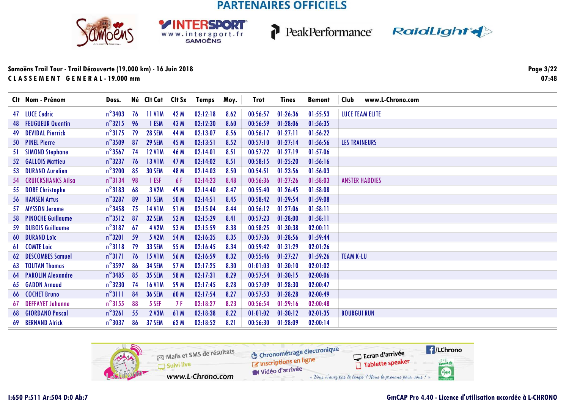**RSDORT** 

WWW.intersport.fr







### Samoëns Trail Tour - Trail Découverte (19.000 km) - 16 Juin 2018 CLASSEMENT GENERAL-19.000 mm

**Page 3/22**  $07:48$ 

|     | Clt Nom - Prénom            | Doss.            |    | Né Clt Cat Clt Sx |      | Temps    | Moy. | Trot     | <b>Tines</b> | <b>Bemont</b> | www.L-Chrono.com<br>Club |
|-----|-----------------------------|------------------|----|-------------------|------|----------|------|----------|--------------|---------------|--------------------------|
|     | 47 LUCE Cedric              | $n^{\circ}$ 3403 | 76 | 11 V1M            | 42 M | 02:12:18 | 8.62 | 00:56:57 | 01:26:36     | 01:55:53      | <b>LUCE TEAM ELITE</b>   |
|     | <b>48 FEUGUEUR Quentin</b>  | $n^{\circ}3215$  | 96 | 1 ESM             | 43 M | 02:12:30 | 8.60 | 00:56:59 | 01:28:06     | 01:56:35      |                          |
| 49  | <b>DEVIDAL Pierrick</b>     | $n^{\circ}3175$  | 79 | <b>28 SEM</b>     | 44 M | 02:13:07 | 8.56 | 00:56:17 | 01:27:11     | 01:56:22      |                          |
|     | 50 PINEL Pierre             | $n^{\circ}$ 3509 | 87 | <b>29 SEM</b>     | 45 M | 02:13:51 | 8.52 | 00:57:10 | 01:27:14     | 01:56:56      | <b>LES TRAINEURS</b>     |
| 51. | <b>SIMOND Stephane</b>      | $n^{\circ}$ 3567 | 74 | <b>12 V1M</b>     | 46 M | 02:14:01 | 8.51 | 00:57:22 | 01:27:19     | 01:57:06      |                          |
|     | 52 GALLOIS Mattieu          | $n^{\circ}$ 3237 | 76 | <b>13 V1M</b>     | 47 M | 02:14:02 | 8.51 | 00:58:15 | 01:25:20     | 01:56:16      |                          |
|     | 53 DURAND Aurelien          | $n^{\circ}$ 3200 | 85 | <b>30 SEM</b>     | 48 M | 02:14:03 | 8.50 | 00:54:51 | 01:23:56     | 01:56:03      |                          |
|     | 54 CRUICKSHANKS Ailsa       | $n^{\circ}3134$  | 98 | 1 ESF             | 6 F  | 02:14:23 | 8.48 | 00:56:36 | 01:27:26     | 01:58:03      | <b>ANSTER HADDIES</b>    |
|     | 55 DORE Christophe          | $n^{\circ}3183$  | 68 | 3 V2M             | 49 M | 02:14:40 | 8.47 | 00:55:40 | 01:26:45     | 01:58:08      |                          |
|     | <b>56 HANSEN Artus</b>      | $n^{\circ}$ 3287 | 89 | 31 SEM            | 50 M | 02:14:51 | 8.45 | 00:58:42 | 01:29:54     | 01:59:08      |                          |
|     | 57 MYSSON Jerome            | $n^{\circ}$ 3458 | 75 | <b>14 V1M</b>     | 51 M | 02:15:04 | 8.44 | 00:56:12 | 01:27:06     | 01:58:11      |                          |
|     | <b>58 PINOCHE Guillaume</b> | $n^{\circ}3512$  | 87 | <b>32 SEM</b>     | 52 M | 02:15:29 | 8.41 | 00:57:23 | 01:28:00     | 01:58:11      |                          |
| -59 | <b>DUBOIS Guillaume</b>     | $n^{\circ}3187$  | 67 | 4 V2M             | 53 M | 02:15:59 | 8.38 | 00:58:25 | 01:30:38     | 02:00:11      |                          |
|     | <b>60 DURAND Loïc</b>       | $n^{\circ}3201$  | 59 | 5 V2M             | 54 M | 02:16:35 | 8.35 | 00:57:36 | 01:28:56     | 01:59:44      |                          |
|     | 61 COMTE Loic               | $n^{\circ}3118$  | 79 | <b>33 SEM</b>     | 55 M | 02:16:45 | 8.34 | 00:59:42 | 01:31:29     | 02:01:26      |                          |
|     | <b>62 DESCOMBES Samuel</b>  | $n^{\circ}$ 3171 | 76 | <b>15 V1M</b>     | 56 M | 02:16:59 | 8.32 | 00:55:46 | 01:27:27     | 01:59:26      | <b>TEAM K-LU</b>         |
|     | <b>63 TOUTAN Thomas</b>     | $n^{\circ}$ 3597 | 86 | <b>34 SEM</b>     | 57 M | 02:17:25 | 8.30 | 01:01:03 | 01:30:10     | 02:01:02      |                          |
|     | <b>64 PAROLIN Alexandre</b> | $n^{\circ}$ 3485 | 85 | <b>35 SEM</b>     | 58 M | 02:17:31 | 8.29 | 00:57:54 | 01:30:15     | 02:00:06      |                          |
|     | 65 GADON Arnaud             | $n^{\circ}$ 3230 | 74 | <b>16 V1M</b>     | 59 M | 02:17:45 | 8.28 | 00:57:09 | 01:28:30     | 02:00:47      |                          |
|     | <b>66 COCHET Bruno</b>      | $n^{\circ}$ 3111 | 84 | <b>36 SEM</b>     | 60 M | 02:17:54 | 8.27 | 00:57:53 | 01:28:28     | 02:00:49      |                          |
| 67  | <b>DEFFAYET Johanne</b>     | $n^{\circ}3155$  | 88 | 5 SEF             | 7 F  | 02:18:27 | 8.23 | 00:56:54 | 01:29:16     | 02:00:48      |                          |
| 68  | <b>GIORDANO Pascal</b>      | $n^{\circ}$ 3261 | 55 | <b>2 V3M</b>      | 61 M | 02:18:38 | 8.22 | 01:01:02 | 01:30:12     | 02:01:35      | <b>BOURGUI RUN</b>       |
| 69  | <b>BERNAND Alrick</b>       | $n^{\circ}3037$  | 86 | 37 SEM            | 62 M | 02:18:52 | 8.21 | 00:56:30 | 01:28:09     | 02:00:14      |                          |

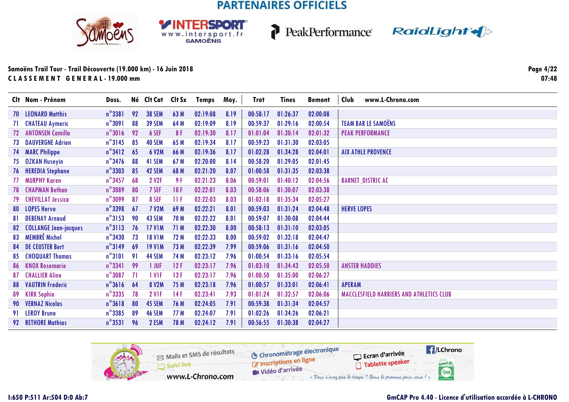





|    | Clt Nom - Prénom             | Doss.            |    | Né Clt Cat Clt Sx  |       | <b>Temps</b> | Moy. | <b>Trot</b> | <b>Tines</b> | <b>Bemont</b> | Club<br>www.L-Chrono.com                 |
|----|------------------------------|------------------|----|--------------------|-------|--------------|------|-------------|--------------|---------------|------------------------------------------|
|    | <b>70 LEONARD Matthis</b>    | $n^{\circ}$ 3381 | 92 | <b>38 SEM</b>      | 63 M  | 02:19:08     | 8.19 | 00:58:17    | 01:26:37     | 02:00:08      |                                          |
| 71 | <b>CHATEAU Aymeric</b>       | $n^{\circ}3091$  | 88 | <b>39 SEM</b>      | 64 M  | 02:19:09     | 8.19 | 00:59:37    | 01:29:16     | 02:00:54      | <b>TEAM BAR LE SAMOËNS</b>               |
| 72 | <b>ANTONSEN Camilla</b>      | $n^{\circ}3016$  | 92 | 6 SEF              | 8F    | 02:19:30     | 8.17 | 01:01:04    | 01:30:14     | 02:01:32      | <b>PEAK PERFORMANCE</b>                  |
| 73 | <b>DAUVERGNE Adrien</b>      | $n^{\circ}3145$  | 85 | 40 SEM             | 65 M  | 02:19:34     | 8.17 | 00:59:23    | 01:31:30     | 02:03:05      |                                          |
|    | <b>74 MARC Philippe</b>      | $n^{\circ}3412$  | 65 | 6 V2M              | 66 M  | 02:19:36     | 8.17 | 01:02:28    | 01:34:28     | 02:04:01      | <b>AIX ATHLE PROVENCE</b>                |
|    | 75 OZKAN Huseyin             | $n^{\circ}$ 3476 | 88 | 41 SEM             | 67 M  | 02:20:00     | 8.14 | 00:58:20    | 01:29:05     | 02:01:45      |                                          |
|    | 76 HEREDIA Stephane          | $n^{\circ}$ 3303 | 85 | 42 SEM             | 68 M  | 02:21:20     | 8.07 | 01:00:58    | 01:31:35     | 02:03:38      |                                          |
| 77 | <b>MURPHY Karen</b>          | $n^{\circ}$ 3457 | 68 | 2 V <sub>2</sub> F | 9 F   | 02:21:23     | 8.06 | 00:59:01    | 01:40:12     | 02:04:56      | <b>BARNET_DISTRIC AC</b>                 |
|    | <b>78 CHAPMAN Bethan</b>     | $n^{\circ}$ 3089 | 80 | 7 SEF              | 10F   | 02:22:01     | 8.03 | 00:58:06    | 01:30:07     | 02:03:38      |                                          |
| 79 | <b>CHEVILLAT Jessica</b>     | $n^{\circ}$ 3099 | 87 | 8 SEF              | -11 F | 02:22:03     | 8.03 | 01:02:18    | 01:35:34     | 02:05:27      |                                          |
|    | 80 LOPES Herve               | $n^{\circ}$ 3398 | 67 | <b>7 V2M</b>       | 69 M  | 02:22:21     | 8.01 | 00:59:03    | 01:31:24     | 02:04:48      | <b>HERVE LOPES</b>                       |
| 81 | <b>DEBENAY Arnaud</b>        | $n^{\circ}3153$  | 90 | 43 SEM             | 70 M  | 02:22:22     | 8.01 | 00:59:07    | 01:30:08     | 02:04:44      |                                          |
| 82 | <b>COLLANGE Jean-jacques</b> | $n^{\circ}3113$  | 76 | <b>17 V1M</b>      | 71 M  | 02:22:30     | 8.00 | 00:58:13    | 01:31:10     | 02:03:05      |                                          |
|    | 83 MEMBRÉ Michel             | $n^{\circ}$ 3430 | 73 | <b>18 V1M</b>      | 72 M  | 02:22:33     | 8.00 | 00:59:02    | 01:32:18     | 02:04:47      |                                          |
|    | <b>84 DE CEUSTER Bert</b>    | $n^{\circ}3149$  | 69 | <b>19 V1M</b>      | 73 M  | 02:22:39     | 7.99 | 00:59:06    | 01:31:16     | 02:04:50      |                                          |
| 85 | <b>CHOQUART Thomas</b>       | $n^{\circ}$ 3101 | 91 | 44 SEM             | 74 M  | 02:23:12     | 7.96 | 01:00:54    | 01:33:16     | 02:05:54      |                                          |
|    | 86 KNOX Rosemarie            | $n^{\circ}$ 3341 | 99 | 1 JUF              | 12F   | 02:23:17     | 7.96 | 01:03:10    | 01:34:43     | 02:05:50      | <b>ANSTER HADDIES</b>                    |
| 87 | <b>CHALLIER Aline</b>        | $n^{\circ}$ 3087 | 71 | 1 V <sub>IF</sub>  | 13F   | 02:23:17     | 7.96 | 01:00:50    | 01:35:00     | 02:06:27      |                                          |
|    | <b>88 VAUTRIN Frederic</b>   | $n^{\circ}3616$  | 64 | <b>8 V2M</b>       | 75 M  | 02:23:18     | 7.96 | 01:00:57    | 01:33:01     | 02:06:41      | <b>APERAM</b>                            |
| 89 | <b>KIRK Sophie</b>           | $n^{\circ}$ 3335 | 78 | <b>2 V1F</b>       | 14F   | 02:23:41     | 7.93 | 01:01:24    | 01:32:57     | 02:06:06      | MACCLESFIELD HARRIERS AND ATHLETICS CLUB |
|    | 90 VERNAZ Nicolas            | $n^{\circ}3618$  | 80 | 45 SEM             | 76 M  | 02:24:05     | 7.91 | 00:59:38    | 01:31:34     | 02:04:57      |                                          |
|    | 91 LEROY Bruno               | $n^{\circ}$ 3385 | 89 | <b>46 SEM</b>      | 77 M  | 02:24:07     | 7.91 | 01:02:26    | 01:34:26     | 02:06:21      |                                          |
|    | 92 RETHORE Mathias           | $n^{\circ}$ 3531 | 96 | 2 ESM              | 78 M  | 02:24:12     | 7.91 | 00:56:55    | 01:30:38     | 02:04:27      |                                          |

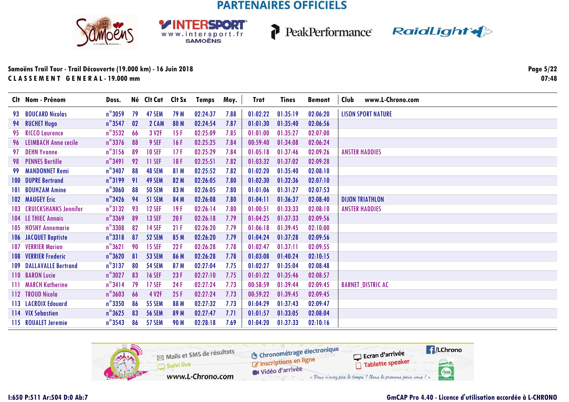**RSDORT** 

WWW.intersport.fr







| Clt Nom - Prénom                 | Doss.            |    | Né Clt Cat Clt Sx |      | Temps    | Moy. | Trot     | Tines    | <b>Bemont</b> | www.L-Chrono.com<br>Club  |
|----------------------------------|------------------|----|-------------------|------|----------|------|----------|----------|---------------|---------------------------|
| 93 BOUCARD Nicolas               | $n^{\circ}3059$  | 79 | 47 SEM            | 79 M | 02:24:37 | 7.88 | 01:02:22 | 01:35:19 | 02:06:20      | <b>LISON SPORT NATURE</b> |
| 94 RUCHET Hugo                   | $n^{\circ}$ 3547 | 02 | 2 CAM             | 80 M | 02:24:54 | 7.87 | 01:01:30 | 01:35:40 | 02:06:56      |                           |
| 95 RICCO Laurence                | $n^{\circ}$ 3532 | 66 | 3 V <sub>2F</sub> | 15F  | 02:25:09 | 7.85 | 01:01:00 | 01:35:27 | 02:07:00      |                           |
| 96 LEIMBACH Anne cecile          | $n^{\circ}$ 3376 | 88 | 9 SEF             | 16F  | 02:25:25 | 7.84 | 00:59:40 | 01:34:08 | 02:06:24      |                           |
| 97 DEHN Yvonne                   | $n^{\circ}3156$  | 89 | <b>10 SEF</b>     | 17F  | 02:25:29 | 7.84 | 01:05:18 | 01:37:46 | 02:09:26      | <b>ANSTER HADDIES</b>     |
| 98 PENNES Bertille               | $n^{\circ}$ 3491 | 92 | 11 SEF            | 18F  | 02:25:51 | 7.82 | 01:03:32 | 01:37:02 | 02:09:28      |                           |
| 99 MANDONNET Remi                | $n^{\circ}$ 3407 | 88 | 48 SEM            | 81 M | 02:25:52 | 7.82 | 01:02:20 | 01:35:40 | 02:08:10      |                           |
| <b>100 DUPRE Bertrand</b>        | $n^{\circ}3199$  | 91 | 49 SEM            | 82 M | 02:26:05 | 7.80 | 01:02:30 | 01:32:36 | 02:07:10      |                           |
| 101 BOUHZAM Amine                | $n^{\circ}$ 3060 | 88 | <b>50 SEM</b>     | 83 M | 02:26:05 | 7.80 | 01:01:06 | 01:31:27 | 02:07:53      |                           |
| <b>102 MAUGEY Eric</b>           | $n^{\circ}$ 3426 | 94 | 51 SEM            | 84 M | 02:26:08 | 7.80 | 01:04:11 | 01:36:37 | 02:08:40      | <b>DIJON TRIATHLON</b>    |
| <b>103 CRUICKSHANKS Jennifer</b> | $n^{\circ}3132$  | 93 | <b>12 SEF</b>     | 19F  | 02:26:14 | 7.80 | 01:00:51 | 01:33:33 | 02:08:10      | <b>ANSTER HADDIES</b>     |
| <b>104 LE THIEC Annais</b>       | $n^{\circ}$ 3369 | 89 | <b>13 SEF</b>     | 20F  | 02:26:18 | 7.79 | 01:04:25 | 01:37:33 | 02:09:56      |                           |
| 105 HOSNY Annemarie              | $n^{\circ}$ 3308 | 82 | <b>14 SEF</b>     | 21F  | 02:26:20 | 7.79 | 01:06:18 | 01:39:45 | 02:10:00      |                           |
| 106 JACQUET Baptiste             | $n^{\circ}3318$  | 87 | 52 SEM            | 85 M | 02:26:20 | 7.79 | 01:04:24 | 01:37:28 | 02:09:56      |                           |
| <b>107 VERRIER Marion</b>        | $n^{\circ}3621$  | 90 | <b>15 SEF</b>     | 22F  | 02:26:28 | 7.78 | 01:02:47 | 01:37:11 | 02:09:55      |                           |
| <b>108 VERRIER Frederic</b>      | $n^{\circ}3620$  | 81 | <b>53 SEM</b>     | 86 M | 02:26:28 | 7.78 | 01:03:08 | 01:40:24 | 02:10:15      |                           |
| <b>109 DALLAVALLE Bertrand</b>   | $n^{\circ}3137$  | 80 | <b>54 SEM</b>     | 87 M | 02:27:04 | 7.75 | 01:02:27 | 01:35:04 | 02:08:48      |                           |
| 110 BARON Lucie                  | $n^{\circ}3027$  | 83 | <b>16 SEF</b>     | 23F  | 02:27:10 | 7.75 | 01:01:22 | 01:35:46 | 02:08:57      |                           |
| 111 MARCH Katherine              | $n^{\circ}$ 3414 | 79 | <b>17 SEF</b>     | 24F  | 02:27:24 | 7.73 | 00:58:59 | 01:39:44 | 02:09:45      | <b>BARNET_DISTRIC AC</b>  |
| 112 TROUD Nicola                 | $n^{\circ}3603$  | 66 | 4 V2F             | 25F  | 02:27:24 | 7.73 | 00:59:22 | 01:39:45 | 02:09:45      |                           |
| 113 LACROIX Edouard              | $n^{\circ}$ 3350 | 86 | <b>55 SEM</b>     | 88 M | 02:27:32 | 7.73 | 01:04:29 | 01:37:43 | 02:09:47      |                           |
| 114 VIX Sebastien                | $n^{\circ}3625$  | 83 | <b>56 SEM</b>     | 89 M | 02:27:47 | 7.71 | 01:01:57 | 01:33:05 | 02:08:04      |                           |
| 115 ROUALET Jeremie              | $n^{\circ}$ 3543 | 86 | 57 SEM            | 90 M | 02:28:18 | 7.69 | 01:04:20 | 01:37:33 | 02:10:16      |                           |

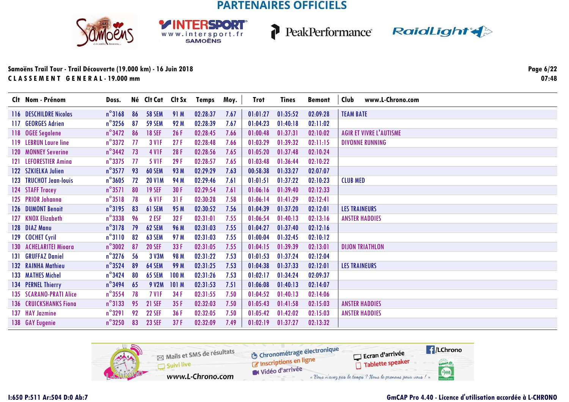





| Clt Nom - Prénom              | Doss.            |    | Né Clt Cat Clt Sx |                  | Temps    | Moy. | <b>Trot</b> | <b>Tines</b> | <b>Bemont</b> | Club<br>www.L-Chrono.com       |
|-------------------------------|------------------|----|-------------------|------------------|----------|------|-------------|--------------|---------------|--------------------------------|
| 116 DESCHILDRE Nicolas        | $n^{\circ}3168$  | 86 | <b>58 SEM</b>     | 91 M             | 02:28:37 | 7.67 | 01:01:27    | 01:35:52     | 02:09:28      | <b>TEAM BATE</b>               |
| 117 GEORGES Adrien            | $n^{\circ}$ 3256 | 87 | <b>59 SEM</b>     | 92 M             | 02:28:39 | 7.67 | 01:04:23    | 01:40:18     | 02:11:02      |                                |
| 118 OGEE Segolene             | $n^{\circ}$ 3472 | 86 | <b>18 SEF</b>     | 26F              | 02:28:45 | 7.66 | 01:00:48    | 01:37:31     | 02:10:02      | <b>AGIR ET VIVRE L'AUTISME</b> |
| 119 LEBRUN Laure line         | $n^{\circ}3372$  | 77 | <b>3 V1F</b>      | 27F              | 02:28:48 | 7.66 | 01:03:29    | 01:39:32     | 02:11:15      | <b>DIVONNE RUNNING</b>         |
| 120 MONNEY Severine           | $n^{\circ}$ 3442 | 73 | <b>4 V1F</b>      | 28F              | 02:28:56 | 7.65 | 01:05:20    | 01:37:48     | 02:10:24      |                                |
| 121 LEFORESTIER Amina         | $n^{\circ}$ 3375 | 77 | <b>5 V1F</b>      | 29 F             | 02:28:57 | 7.65 | 01:03:48    | 01:36:44     | 02:10:22      |                                |
| 122 SZKIELKA Julien           | $n^{\circ}$ 3577 | 93 | <b>60 SEM</b>     | 93 M             | 02:29:29 | 7.63 | 00:58:38    | 01:33:27     | 02:07:07      |                                |
| 123 TRUCHOT Jean-louis        | $n^{\circ}3605$  | 72 | <b>20 V1M</b>     | 94 M             | 02:29:46 | 7.61 | 01:01:51    | 01:37:22     | 02:10:23      | <b>CLUB MED</b>                |
| 124 STAFF Tracey              | $n^{\circ}3571$  | 80 | <b>19 SEF</b>     | 30 F             | 02:29:54 | 7.61 | 01:06:16    | 01:39:40     | 02:12:33      |                                |
| 125 PRIOR Johanna             | $n^{\circ}3518$  | 78 | 6 V <sub>IF</sub> | 31F              | 02:30:28 | 7.58 | 01:06:14    | 01:41:29     | 02:12:41      |                                |
| 126 DUMONT Benoit             | $n^{\circ}3195$  | 83 | 61 SEM            | 95 M             | 02:30:52 | 7.56 | 01:04:39    | 01:37:20     | 02:12:01      | <b>LES TRAINEURS</b>           |
| 127 KNOX Elizabeth            | $n^{\circ}$ 3338 | 96 | 2 ESF             | 32F              | 02:31:01 | 7.55 | 01:06:54    | 01:40:13     | 02:13:16      | <b><i>ANSTER HADDIES</i></b>   |
| 128 DIAZ Manu                 | $n^{\circ}3178$  | 79 | 62 SEM            | 96 M             | 02:31:03 | 7.55 | 01:04:27    | 01:37:40     | 02:12:16      |                                |
| 129 COCHET Cyril              | $n^{\circ}3110$  | 82 | <b>63 SEM</b>     | 97 M             | 02:31:03 | 7.55 | 01:00:04    | 01:32:45     | 02:10:12      |                                |
| 130 ACHELARITEI Mioara        | $n^{\circ}3002$  | 87 | <b>20 SEF</b>     | 33 F             | 02:31:05 | 7.55 | 01:04:15    | 01:39:39     | 02:13:01      | <b>DIJON TRIATHLON</b>         |
| 131 GRUFFAZ Daniel            | $n^{\circ}$ 3276 | 56 | 3 V3M             | 98 M             | 02:31:22 | 7.53 | 01:01:53    | 01:37:24     | 02:12:04      |                                |
| 132 RAINHA Mathieu            | $n^{\circ}$ 3524 | 89 | 64 SEM            | 99 M             | 02:31:25 | 7.53 | 01:04:38    | 01:37:33     | 02:12:01      | <b>LES TRAINEURS</b>           |
| 133 MATHES Michel             | $n^{\circ}$ 3424 | 80 | 65 SEM            | 100 <sub>M</sub> | 02:31:26 | 7.53 | 01:02:17    | 01:34:24     | 02:09:37      |                                |
| 134 PERNEL Thierry            | $n^{\circ}$ 3494 | 65 | 9 V2M             | 101 M            | 02:31:53 | 7.51 | 01:06:08    | 01:40:13     | 02:14:07      |                                |
| 135 SCARANO-PRATI Alice       | $n^{\circ}$ 3554 | 78 | <b>7 V1F</b>      | 34 F             | 02:31:55 | 7.50 | 01:04:52    | 01:40:13     | 02:14:06      |                                |
| <b>136 CRUICKSHANKS Fiong</b> | $n^{\circ}3133$  | 95 | <b>21 SEF</b>     | 35F              | 02:32:03 | 7.50 | 01:05:43    | 01:41:58     | 02:15:03      | <b>ANSTER HADDIES</b>          |
| 137 HAY Jazmine               | $n^{\circ}3291$  | 92 | <b>22 SEF</b>     | 36 F             | 02:32:05 | 7.50 | 01:05:42    | 01:42:02     | 02:15:03      | <b><i>ANSTER HADDIES</i></b>   |
| 138 GAY Eugenie               | $n^{\circ}3250$  | 83 | <b>23 SEF</b>     | 37F              | 02:32:09 | 7.49 | 01:02:19    | 01:37:27     | 02:13:32      |                                |

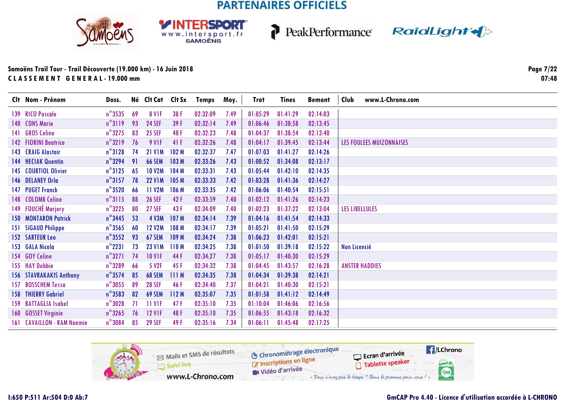**SPORT** 

WWW.intersport.fr







### **Samoëns Trail Tour - Trail Découverte (19.000 km) - 16 Juin 2018C L A S S E M E N T G E N E R A L - 19.000 mm**

**Page 7/2207:48**

|     | Clt Nom - Prénom                  | Doss.            |    | Né Clt Cat Clt Sx |                  | <b>Temps</b> | Moy. | <b>Trot</b> | <b>Tines</b> | <b>Bemont</b> | Club                  | www.L-Chrono.com                |
|-----|-----------------------------------|------------------|----|-------------------|------------------|--------------|------|-------------|--------------|---------------|-----------------------|---------------------------------|
|     | 139 RICO Pascale                  | $n^{\circ}$ 3535 | 69 | <b>8 V1F</b>      | 38 F             | 02:32:09     | 7.49 | 01:05:29    | 01:41:29     | 02:14:03      |                       |                                 |
|     | 140 CONS Marie                    | $n^{\circ}3119$  | 93 | <b>24 SEF</b>     | 39 F             | 02:32:14     | 7.49 | 01:06:46    | 01:38:58     | 02:13:45      |                       |                                 |
|     | 141 GROS Celine                   | $n^{\circ}$ 3275 | 83 | <b>25 SEF</b>     | 40 F             | 02:32:23     | 7.48 | 01:04:37    | 01:38:54     | 02:13:40      |                       |                                 |
|     | <b>142 FIORINI Beatrice</b>       | $n^{\circ}3219$  | 76 | <b>9 V1F</b>      | 41F              | 02:32:26     | 7.48 | 01:04:17    | 01:39:45     | 02:13:44      |                       | <b>LES FOULEES MUIZONNAISES</b> |
|     | 143 CRAIG Alastair                | $n^{\circ}3128$  | 74 | <b>21 V1M</b>     | 102 <sub>M</sub> | 02:32:37     | 7.47 | 01:07:03    | 01:41:27     | 02:14:26      |                       |                                 |
|     | 144 HECIAK Quentin                | $n^{\circ}$ 3294 | 91 | <b>66 SEM</b>     | 103M             | 02:33:26     | 7.43 | 01:00:52    | 01:34:08     | 02:13:17      |                       |                                 |
|     | 145 COURTIOL Olivier              | $n^{\circ}3125$  | 65 | <b>10 V2M</b>     | 104M             | 02:33:31     | 7.43 | 01:05:44    | 01:42:10     | 02:14:35      |                       |                                 |
|     | 146 DELANEY Orla                  | $n^{\circ}3157$  | 78 | <b>22 V1M</b>     | 105 <sub>M</sub> | 02:33:33     | 7.42 | 01:03:28    | 01:41:36     | 02:14:27      |                       |                                 |
|     | 147 PUGET Franck                  | $n^{\circ}$ 3520 | 66 | 11 V2M            | 106 M            | 02:33:35     | 7.42 | 01:06:06    | 01:40:54     | 02:15:51      |                       |                                 |
|     | 148 COLOMB Celine                 | $n^{\circ}3115$  | 88 | <b>26 SEF</b>     | 42F              | 02:33:59     | 7.40 | 01:02:12    | 01:41:26     | 02:14:23      |                       |                                 |
|     | 149 FOUCHÉ Marjery                | $n^{\circ}$ 3225 | 80 | <b>27 SEF</b>     | 43F              | 02:34:09     | 7.40 | 01:02:23    | 01:37:22     | 02:13:04      | <b>LES LIBELLULES</b> |                                 |
|     | <b>150 MONTARON Patrick</b>       | $n^{\circ}$ 3445 | 53 | <b>4 V3M</b>      | 107 <sub>M</sub> | 02:34:14     | 7.39 | 01:04:16    | 01:41:54     | 02:14:33      |                       |                                 |
| 151 | <b>SIGAUD Philippe</b>            | $n^{\circ}$ 3565 | 60 | <b>12 V2M</b>     | 108 M            | 02:34:17     | 7.39 | 01:05:21    | 01:41:50     | 02:15:29      |                       |                                 |
|     | <b>152 SARTEUR Leo</b>            | $n^{\circ}$ 3552 | 93 | 67 SEM            | 109 M            | 02:34:24     | 7.38 | 01:06:23    | 01:42:01     | 02:15:21      |                       |                                 |
|     | 153 GALA Nicola                   | $n^{\circ}$ 2231 | 73 | <b>23 V1M</b>     | 110 <sub>M</sub> | 02:34:25     | 7.38 | 01:01:50    | 01:39:18     | 02:15:22      | Non Licencié          |                                 |
|     | 154 GOY Celine                    | $n^{\circ}3271$  | 74 | <b>10 V1F</b>     | 44 F             | 02:34:27     | 7.38 | 01:05:17    | 01:40:30     | 02:15:29      |                       |                                 |
|     | 155 HAY Debbie                    | $n^{\circ}$ 3289 | 66 | 5 V <sub>2F</sub> | 45F              | 02:34:32     | 7.38 | 01:04:45    | 01:43:57     | 02:16:28      |                       | <b>ANSTER HADDIES</b>           |
|     | <b>156 STAVRAKAKIS Anthony</b>    | $n^{\circ}$ 3574 | 85 | <b>68 SEM</b>     | 111M             | 02:34:35     | 7.38 | 01:04:34    | 01:39:38     | 02:14:21      |                       |                                 |
|     | 157 BOSSCHEM Tessa                | $n^{\circ}3055$  | 89 | <b>28 SEF</b>     | 46 F             | 02:34:40     | 7.37 | 01:04:21    | 01:40:30     | 02:15:21      |                       |                                 |
|     | <b>158 THIERRY Gabriel</b>        | $n^{\circ}$ 3583 | 82 | <b>69 SEM</b>     | 112M             | 02:35:07     | 7.35 | 01:01:58    | 01:41:12     | 02:14:49      |                       |                                 |
|     | 159 BATTAGLIA Isabel              | $n^{\circ}3028$  | 71 | <b>11 V1F</b>     | 47 F             | 02:35:10     | 7.35 | 01:10:04    | 01:46:06     | 02:16:56      |                       |                                 |
|     | 160 GOSSET Virginie               | $n^{\circ}$ 3265 | 76 | <b>12 VIF</b>     | 48 F             | 02:35:10     | 7.35 | 01:06:55    | 01:43:18     | 02:16:32      |                       |                                 |
|     | <b>161 CAVAILLON - RAM Noemie</b> | $n^{\circ}$ 3084 | 85 | <b>29 SEF</b>     | 49 F             | 02:35:16     | 7.34 | 01:06:11    | 01:45:48     | 02:17:25      |                       |                                 |

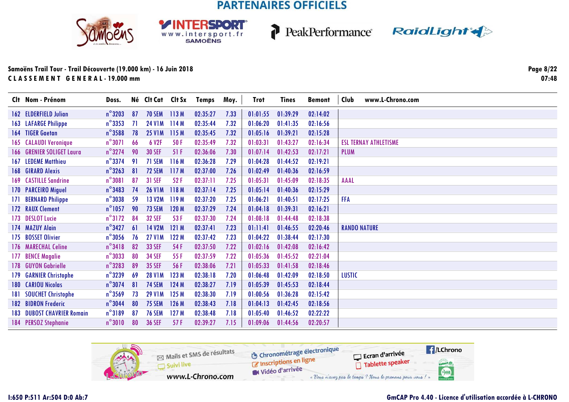SPORT

WWW.intersport.fr







| Clt Nom - Prénom                  | Doss.            |     | Né Clt Cat Clt Sx |       | Temps    | Moy. | <b>Trot</b> | <b>Tines</b> | <b>Bemont</b> | Club          | www.L-Chrono.com             |
|-----------------------------------|------------------|-----|-------------------|-------|----------|------|-------------|--------------|---------------|---------------|------------------------------|
| 162 ELDERFIELD Julian             | $n^{\circ}$ 3203 | 87  | <b>70 SEM</b>     | 113M  | 02:35:27 | 7.33 | 01:01:55    | 01:39:29     | 02:14:02      |               |                              |
| <b>163 LAFARGE Philippe</b>       | $n^{\circ}$ 3353 | -71 | <b>24 V1M</b>     | 114 M | 02:35:44 | 7.32 | 01:06:20    | 01:41:35     | 02:16:56      |               |                              |
| 164 TIGER Gaetan                  | $n^{\circ}$ 3588 | 78  | <b>25 V1M</b>     | 115 M | 02:35:45 | 7.32 | 01:05:16    | 01:39:21     | 02:15:28      |               |                              |
| <b>165 CALAUDI Veronique</b>      | $n^{\circ}3071$  | 66  | 6 V <sub>2F</sub> | 50F   | 02:35:49 | 7.32 | 01:03:31    | 01:43:27     | 02:16:34      |               | <b>ESL TERNAY ATHLETISME</b> |
| 166 GRENIER SOLIGET Laura         | $n^{\circ}3274$  | 90  | <b>30 SEF</b>     | 51F   | 02:36:06 | 7.30 | 01:07:14    | 01:42:53     | 02:17:21      | <b>PLUM</b>   |                              |
| <b>167 LEDEME Matthieu</b>        | $n^{\circ}$ 3374 | 91  | 71 SEM            | 116M  | 02:36:28 | 7.29 | 01:04:28    | 01:44:52     | 02:19:21      |               |                              |
| 168 GIRARD Alexis                 | $n^{\circ}$ 3263 | 81  | 72 SEM            | 117 M | 02:37:00 | 7.26 | 01:02:49    | 01:40:36     | 02:16:59      |               |                              |
| 169 CASTILLE Sandrine             | $n^{\circ}3081$  | 87  | <b>31 SEF</b>     | 52F   | 02:37:11 | 7.25 | 01:05:31    | 01:45:09     | 02:18:35      | <b>AAAL</b>   |                              |
| 170 PARCEIRO Miguel               | $n^{\circ}$ 3483 | 74  | <b>26 V1M</b>     | 118M  | 02:37:14 | 7.25 | 01:05:14    | 01:40:36     | 02:15:29      |               |                              |
| 171 BERNARD Philippe              | $n^{\circ}$ 3038 | 59  | <b>13 V2M</b>     | 119M  | 02:37:20 | 7.25 | 01:06:21    | 01:40:51     | 02:17:25      | <b>FFA</b>    |                              |
| 172 RAUX Clement                  | $n^{\circ}$ 1057 | 90  | <b>73 SEM</b>     | 120 M | 02:37:29 | 7.24 | 01:04:18    | 01:39:31     | 02:16:21      |               |                              |
| 173 DESLOT Lucie                  | $n^{\circ}3172$  | 84  | <b>32 SEF</b>     | 53 F  | 02:37:30 | 7.24 | 01:08:18    | 01:44:48     | 02:18:38      |               |                              |
| 174 MAZUY Alain                   | $n^{\circ}$ 3427 | 61  | <b>14 V2M</b>     | 121M  | 02:37:41 | 7.23 | 01:11:41    | 01:46:55     | 02:20:46      |               | <b>RANDO NATURE</b>          |
| 175 BOSSET Olivier                | $n^{\circ}3056$  | 76  | <b>27 V1M</b>     | 122 M | 02:37:42 | 7.23 | 01:04:22    | 01:38:44     | 02:17:30      |               |                              |
| 176 MARECHAL Celine               | $n^{\circ}$ 3418 | 82  | <b>33 SEF</b>     | 54 F  | 02:37:50 | 7.22 | 01:02:16    | 01:42:08     | 02:16:42      |               |                              |
| 177 BENCE Magalie                 | $n^{\circ}3033$  | 80  | <b>34 SEF</b>     | 55 F  | 02:37:59 | 7.22 | 01:05:36    | 01:45:52     | 02:21:04      |               |                              |
| 178 GUYON Gabrielle               | $n^{\circ}$ 3283 | 89  | <b>35 SEF</b>     | 56 F  | 02:38:06 | 7.21 | 01:05:33    | 01:41:58     | 02:18:46      |               |                              |
| 179 GARNIER Christophe            | $n^{\circ}$ 3239 | 69  | <b>28 V1M</b>     | 123 M | 02:38:18 | 7.20 | 01:06:48    | 01:42:09     | 02:18:50      | <b>LUSTIC</b> |                              |
| 180 CARIOU Nicolas                | $n^{\circ}3074$  | 81  | <b>74 SEM</b>     | 124 M | 02:38:27 | 7.19 | 01:05:39    | 01:45:53     | 02:18:44      |               |                              |
| 181 SOUCHET Christophe            | $n^{\circ}$ 3569 | 73  | <b>29 V1M</b>     | 125 M | 02:38:30 | 7.19 | 01:00:56    | 01:36:28     | 02:15:42      |               |                              |
| 182 BIDRON Frederic               | $n^{\circ}$ 3044 | 80  | <b>75 SEM</b>     | 126 M | 02:38:43 | 7.18 | 01:04:13    | 01:42:45     | 02:18:56      |               |                              |
| <b>183 DUBOST CHAVRIER Romain</b> | $n^{\circ}3189$  | 87  | <b>76 SEM</b>     | 127M  | 02:38:48 | 7.18 | 01:05:40    | 01:46:52     | 02:22:22      |               |                              |
| 184 PERSOZ Stephanie              | $n^{\circ}3010$  | 80  | <b>36 SEF</b>     | 57F   | 02:39:27 | 7.15 | 01:09:06    | 01:44:56     | 02:20:57      |               |                              |

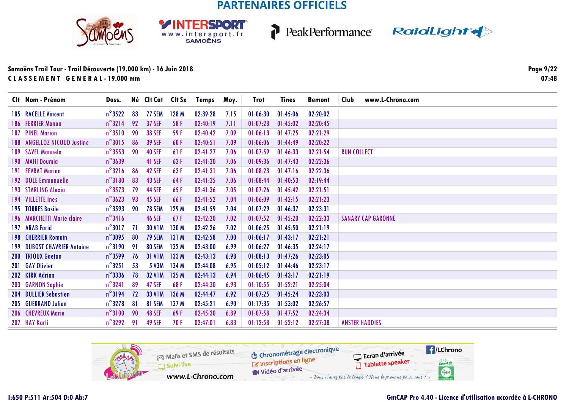**RSDORT** 

WWW.intersport.fr



P



| Clt Nom - Prénom                   | Doss.            |     | Né Clt Cat Clt Sx |                  | <b>Temps</b> | Moy. | <b>Trot</b> | <b>Tines</b> | <b>Bemont</b> | <b>Club</b><br>www.L-Chrono.com |
|------------------------------------|------------------|-----|-------------------|------------------|--------------|------|-------------|--------------|---------------|---------------------------------|
| <b>185 RACELLE Vincent</b>         | $n^{\circ}3522$  | 83  | 77 SEM            | 128 M            | 02:39:28     | 7.15 | 01:06:30    | 01:45:06     | 02:20:02      |                                 |
| 186 FERRIER Manon                  | $n^{\circ}3214$  | 92  | <b>37 SEF</b>     | 58 F             | 02:40:19     | 7.11 | 01:07:28    | 01:45:02     | 02:20:45      |                                 |
| 187 PINEL Marion                   | $n^{\circ}3510$  | 90  | <b>38 SEF</b>     | 59 F             | 02:40:42     | 7.09 | 01:06:13    | 01:47:25     | 02:21:29      |                                 |
| 188 ANGELLOZ NICOUD Justine        | $n^{\circ}3015$  | 86  | <b>39 SEF</b>     | 60 F             | 02:40:51     | 7.09 | 01:06:06    | 01:44:49     | 02:20:22      |                                 |
| 189 SAVEL Manuela                  | $n^{\circ}$ 3553 | 90  | <b>40 SEF</b>     | 61F              | 02:41:27     | 7.06 | 01:07:59    | 01:46:33     | 02:21:54      | <b>RUN COLLECT</b>              |
| 190 MAHI Doumia                    | $n^{\circ}$ 3639 |     | 41 SEF            | 62F              | 02:41:30     | 7.06 | 01:09:36    | 01:47:43     | 02:22:36      |                                 |
| 191 FEVRAT Marion                  | $n^{\circ}3216$  | 86  | 42 SEF            | 63 F             | 02:41:31     | 7.06 | 01:08:23    | 01:47:16     | 02:22:36      |                                 |
| 192 DOLE Emmanuelle                | $n^{\circ}3180$  | 83  | 43 SEF            | 64F              | 02:41:35     | 7.06 | 01:08:44    | 01:40:53     | 02:19:44      |                                 |
| 193 STARLING Alexia                | $n^{\circ}$ 3573 | 79  | <b>44 SEF</b>     | 65 F             | 02:41:36     | 7.05 | 01:07:26    | 01:45:42     | 02:21:51      |                                 |
| 194 VILLETTE Ines                  | $n^{\circ}3623$  | 93  | <b>45 SEF</b>     | 66 F             | 02:41:52     | 7.04 | 01:06:09    | 01:42:15     | 02:21:23      |                                 |
| 195 TORRES Basile                  | $n^{\circ}$ 3593 | 90  | <b>78 SEM</b>     | 129 M            | 02:41:59     | 7.04 | 01:07:29    | 01:46:37     | 02:23:31      |                                 |
| 196 MARCHETTI Marie claire         | $n^{\circ}$ 3416 |     | <b>46 SEF</b>     | 67 F             | 02:42:20     | 7.02 | 01:07:52    | 01:45:20     | 02:22:33      | <b>SANARY CAP GARONNE</b>       |
| 197 ARAB Farid                     | $n^{\circ}3017$  | -71 | <b>30 V1M</b>     | 130 M            | 02:42:26     | 7.02 | 01:06:25    | 01:45:50     | 02:21:19      |                                 |
| <b>198 CHERRIER Romain</b>         | $n^{\circ}3095$  | 80  | <b>79 SEM</b>     | 131 M            | 02:42:58     | 7.00 | 01:06:17    | 01:43:17     | 02:21:21      |                                 |
| <b>199 DUBOST CHAVRIER Antoine</b> | $n^{\circ}3190$  | 91  | 80 SEM            | 132 M            | 02:43:00     | 6.99 | 01:06:27    | 01:46:35     | 02:24:17      |                                 |
| 200 TRIOUX Gaetan                  | $n^{\circ}$ 3599 | 76  | <b>31 V1M</b>     | 133 M            | 02:43:13     | 6.98 | 01:08:13    | 01:47:26     | 02:23:05      |                                 |
| 201 GAY Olivier                    | $n^{\circ}3251$  | -53 | 5 V3M             | 134 M            | 02:44:08     | 6.95 | 01:05:12    | 01:44:46     | 02:23:17      |                                 |
| 202 KIRK Adrian                    | $n^{\circ}$ 3336 | 78  | <b>32 V1M</b>     | 135 M            | 02:44:13     | 6.94 | 01:06:45    | 01:43:17     | 02:21:19      |                                 |
| 203 GARNON Sophie                  | $n^{\circ}$ 3241 | 89  | <b>47 SEF</b>     | 68F              | 02:44:30     | 6.93 | 01:10:55    | 01:52:21     | 02:25:04      |                                 |
| 204 DULLIER Sebastien              | $n^{\circ}3194$  | 72  | <b>33 V1M</b>     | 136 M            | 02:44:47     | 6.92 | 01:07:25    | 01:45:24     | 02:23:03      |                                 |
| 205 GUERRAND Julien                | $n^{\circ}$ 3278 | 81  | 81 SEM            | 137 <sub>M</sub> | 02:45:21     | 6.90 | 01:17:35    | 01:53:02     | 02:26:57      |                                 |
| 206 CHEVREUX Marie                 | $n^{\circ}3100$  | 90  | <b>48 SEF</b>     | 69 F             | 02:45:30     | 6.89 | 01:07:58    | 01:47:52     | 02:24:34      |                                 |
| 207 HAY Karli                      | $n^{\circ}$ 3292 | 91  | <b>49 SEF</b>     | 70 F             | 02:47:01     | 6.83 | 01:12:58    | 01:52:12     | 02:27:38      | <b>ANSTER HADDIES</b>           |

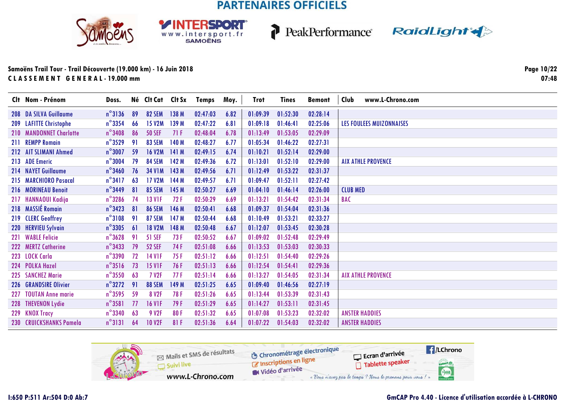





### **Samoëns Trail Tour - Trail Découverte (19.000 km) - 16 Juin 2018C L A S S E M E N T G E N E R A L - 19.000 mm**

**Page 10/2207:48**

| Clt Nom - Prénom        | Doss.            |    | Né Clt Cat Clt Sx |                  | Temps    | Moy. | Trot     | <b>Tines</b> | <b>Bemont</b> | www.L-Chrono.com<br>Club        |
|-------------------------|------------------|----|-------------------|------------------|----------|------|----------|--------------|---------------|---------------------------------|
| 208 DA SILVA Guillaume  | $n^{\circ}3136$  | 89 | <b>82 SEM</b>     | 138M             | 02:47:03 | 6.82 | 01:09:39 | 01:52:30     | 02:28:14      |                                 |
| 209 LAFITTE Christophe  | $n^{\circ}$ 3354 | 66 | <b>15 V2M</b>     | 139 M            | 02:47:22 | 6.81 | 01:09:18 | 01:46:41     | 02:25:06      | <b>LES FOULEES MUIZONNAISES</b> |
| 210 MANDONNET Charlotte | $n^{\circ}$ 3408 | 86 | <b>50 SEF</b>     | 71F              | 02:48:04 | 6.78 | 01:13:49 | 01:53:05     | 02:29:09      |                                 |
| 211 REMPP Romain        | $n^{\circ}$ 3529 | 91 | <b>83 SEM</b>     | 140 M            | 02:48:27 | 6.77 | 01:05:34 | 01:46:22     | 02:27:31      |                                 |
| 212 AIT SLIMANI Ahmed   | $n^{\circ}3007$  | 59 | <b>16 V2M</b>     | 141M             | 02:49:15 | 6.74 | 01:10:21 | 01:52:14     | 02:29:00      |                                 |
| 213 ADE Emeric          | $n^{\circ}3004$  | 79 | <b>84 SEM</b>     | 142 M            | 02:49:36 | 6.72 | 01:13:01 | 01:52:10     | 02:29:00      | <b>AIX ATHLE PROVENCE</b>       |
| 214 NAYET Guillaume     | $n^{\circ}$ 3460 | 76 | <b>34 V1M</b>     | 143M             | 02:49:56 | 6.71 | 01:12:49 | 01:53:22     | 02:31:37      |                                 |
| 215 MARCHIORO Pasacal   | $n^{\circ}3417$  | 63 | <b>17 V2M</b>     | 144 M            | 02:49:57 | 6.71 | 01:09:47 | 01:52:11     | 02:27:42      |                                 |
| 216 MORINEAU Benoit     | $n^{\circ}$ 3449 | 81 | <b>85 SEM</b>     | 145 M            | 02:50:27 | 6.69 | 01:04:10 | 01:46:14     | 02:26:00      | <b>CLUB MED</b>                 |
| 217 HANNAOUI Kadija     | $n^{\circ}$ 3286 | 74 | <b>13 V1F</b>     | 72F              | 02:50:29 | 6.69 | 01:13:21 | 01:54:42     | 02:31:34      | <b>BAC</b>                      |
| 218 MASSIÉ Romain       | $n^{\circ}$ 3423 | 81 | <b>86 SEM</b>     | 146 M            | 02:50:41 | 6.68 | 01:09:37 | 01:54:04     | 02:31:36      |                                 |
| 219 CLERC Geoffrey      | $n^{\circ}3108$  | 91 | <b>87 SEM</b>     | 147 <sub>M</sub> | 02:50:44 | 6.68 | 01:10:49 | 01:53:21     | 02:33:27      |                                 |
| 220 HERVIEU Sylvain     | $n^{\circ}$ 3305 | 61 | <b>18 V2M</b>     | 148 M            | 02:50:48 | 6.67 | 01:12:07 | 01:53:45     | 02:30:28      |                                 |
| 221 WABLE Felicie       | $n^{\circ}3628$  | 91 | <b>51 SEF</b>     | 73F              | 02:50:52 | 6.67 | 01:09:02 | 01:52:48     | 02:29:49      |                                 |
| 222 MERTZ Catherine     | $n^{\circ}$ 3433 | 79 | <b>52 SEF</b>     | 74 F             | 02:51:08 | 6.66 | 01:13:53 | 01:53:03     | 02:30:33      |                                 |
| 223 LOCK Carla          | $n^{\circ}$ 3390 | 72 | <b>14 V1F</b>     | 75 F             | 02:51:12 | 6.66 | 01:12:51 | 01:54:40     | 02:29:26      |                                 |
| 224 POLKA Hazel         | $n^{\circ}3516$  | 73 | <b>15 VIF</b>     | 76 F             | 02:51:13 | 6.66 | 01:12:54 | 01:54:41     | 02:29:36      |                                 |
| 225 SANCHEZ Marie       | $n^{\circ}$ 3550 | 63 | <b>7 V2F</b>      | 77F              | 02:51:14 | 6.66 | 01:13:27 | 01:54:05     | 02:31:34      | <b>AIX ATHLE PROVENCE</b>       |
| 226 GRANDSIRE Olivier   | $n^{\circ}3272$  | 91 | <b>88 SEM</b>     | 149 M            | 02:51:25 | 6.65 | 01:09:40 | 01:46:56     | 02:27:19      |                                 |
| 227 TOUTAN Anne marie   | $n^{\circ}$ 3595 | 59 | 8 V <sub>2F</sub> | 78F              | 02:51:26 | 6.65 | 01:13:44 | 01:53:39     | 02:31:43      |                                 |
| 228 THEVENON Lydie      | $n^{\circ}3581$  | 77 | <b>16 VIF</b>     | 79 F             | 02:51:29 | 6.65 | 01:14:27 | 01:53:11     | 02:31:45      |                                 |
| 229 KNOX Tracy          | $n^{\circ}$ 3340 | 63 | 9 V2F             | 80 F             | 02:51:32 | 6.65 | 01:07:08 | 01:53:23     | 02:32:02      | <b><i>ANSTER HADDIES</i></b>    |
| 230 CRUICKSHANKS Pamela | $n^{\circ}3131$  | 64 | <b>10 V2F</b>     | 81 F             | 02:51:36 | 6.64 | 01:07:22 | 01:54:03     | 02:32:02      | <b>ANSTER HADDIES</b>           |

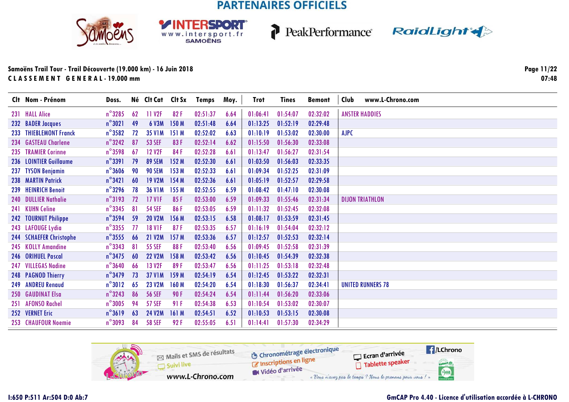**RSDORT** 

WWW.intersport.fr







### **Samoëns Trail Tour - Trail Découverte (19.000 km) - 16 Juin 2018C L A S S E M E N T G E N E R A L - 19.000 mm**

**Page 11/2207:48**

| Clt Nom - Prénom        | Doss.            |    | Né Clt Cat Clt Sx   |                  | <b>Temps</b> | Moy. | Trot     | <b>Tines</b> | <b>Bemont</b> | www.L-Chrono.com<br>Club |
|-------------------------|------------------|----|---------------------|------------------|--------------|------|----------|--------------|---------------|--------------------------|
| 231 HALL Alice          | $n^{\circ}$ 3285 | 62 | 11 V <sub>2</sub> F | 82F              | 02:51:37     | 6.64 | 01:06:41 | 01:54:07     | 02:32:02      | <b>ANSTER HADDIES</b>    |
| 232 BADER Jacques       | $n^{\circ}3021$  | 49 | 6 V3M               | 150 <sub>M</sub> | 02:51:48     | 6.64 | 01:13:25 | 01:52:19     | 02:29:48      |                          |
| 233 THIEBLEMONT Franck  | $n^{\circ}$ 3582 | 72 | <b>35 V1M</b>       | 151M             | 02:52:02     | 6.63 | 01:10:19 | 01:53:02     | 02:30:00      | <b>AJPC</b>              |
| 234 GASTEAU Charlene    | $n^{\circ}$ 3242 | 87 | <b>53 SEF</b>       | 83 F             | 02:52:14     | 6.62 | 01:15:50 | 01:56:30     | 02:33:08      |                          |
| 235 TRAMIER Corinne     | $n^{\circ}$ 3598 | 67 | <b>12 V2F</b>       | 84F              | 02:52:28     | 6.61 | 01:13:47 | 01:56:27     | 02:31:54      |                          |
| 236 LOINTIER Guillaume  | $n^{\circ}$ 3391 | 79 | <b>89 SEM</b>       | 152M             | 02:52:30     | 6.61 | 01:03:50 | 01:56:03     | 02:33:35      |                          |
| 237 TYSON Benjamin      | $n^{\circ}$ 3606 | 90 | <b>90 SEM</b>       | 153M             | 02:52:33     | 6.61 | 01:09:34 | 01:52:25     | 02:31:09      |                          |
| 238 MARTIN Patrick      | $n^{\circ}3421$  | 60 | <b>19 V2M</b>       | 154M             | 02:52:36     | 6.61 | 01:05:19 | 01:52:57     | 02:29:58      |                          |
| 239 HEINRICH Benoit     | $n^{\circ}$ 3296 | 78 | <b>36 V1M</b>       | 155 M            | 02:52:55     | 6.59 | 01:08:42 | 01:47:10     | 02:30:08      |                          |
| 240 DULLIER Nathalie    | $n^{\circ}3193$  | 72 | <b>17 V1F</b>       | 85F              | 02:53:00     | 6.59 | 01:09:33 | 01:55:46     | 02:31:34      | <b>DIJON TRIATHLON</b>   |
| 241 KUHN Celine         | $n^{\circ}$ 3345 | 81 | <b>54 SEF</b>       | 86F              | 02:53:05     | 6.59 | 01:11:32 | 01:52:45     | 02:32:08      |                          |
| 242 TOURNUT Philippe    | $n^{\circ}$ 3594 | 59 | <b>20 V2M</b>       | 156 M            | 02:53:15     | 6.58 | 01:08:17 | 01:53:59     | 02:31:45      |                          |
| 243 LAFOUGE Lydia       | $n^{\circ}$ 3355 | 77 | <b>18 V1F</b>       | 87F              | 02:53:35     | 6.57 | 01:16:19 | 01:54:04     | 02:32:12      |                          |
| 244 SCHAEFER Christophe | $n^{\circ}$ 3555 | 66 | <b>21 V2M</b>       | 157M             | 02:53:36     | 6.57 | 01:12:57 | 01:52:53     | 02:32:14      |                          |
| 245 KOLLY Amandine      | $n^{\circ}$ 3343 | 81 | <b>55 SEF</b>       | 88F              | 02:53:40     | 6.56 | 01:09:45 | 01:52:58     | 02:31:39      |                          |
| 246 ORIHUEL Pascal      | $n^{\circ}$ 3475 | 60 | <b>22 V2M</b>       | 158 M            | 02:53:42     | 6.56 | 01:10:45 | 01:54:39     | 02:32:38      |                          |
| 247 VILLEGAS Nadine     | $n^{\circ}$ 3640 | 66 | 13 V2F              | 89 F             | 02:53:47     | 6.56 | 01:11:25 | 01:53:18     | 02:32:48      |                          |
| 248 PAGNOD Thierry      | $n^{\circ}$ 3479 | 73 | <b>37 V1M</b>       | 159 M            | 02:54:19     | 6.54 | 01:12:45 | 01:53:22     | 02:32:31      |                          |
| 249 ANDREU Renaud       | $n^{\circ}3012$  | 65 | <b>23 V2M</b>       | 160 M            | 02:54:20     | 6.54 | 01:18:30 | 01:56:37     | 02:34:41      | <b>UNITED RUNNERS 78</b> |
| 250 GAUDINAT Elsa       | $n^{\circ}$ 3243 | 86 | <b>56 SEF</b>       | 90F              | 02:54:24     | 6.54 | 01:11:44 | 01:56:20     | 02:33:06      |                          |
| 251 AFONSO Rachel       | $n^{\circ}3005$  | 94 | <b>57 SEF</b>       | 91 F             | 02:54:38     | 6.53 | 01:10:54 | 01:53:02     | 02:30:07      |                          |
| 252 VERNET Eric         | $n^{\circ}3619$  | 63 | <b>24 V2M</b>       | 161M             | 02:54:51     | 6.52 | 01:10:53 | 01:53:15     | 02:30:08      |                          |
| 253 CHAUFOUR Noemie     | $n^{\circ}3093$  | 84 | <b>58 SEF</b>       | 92F              | 02:55:05     | 6.51 | 01:14:41 | 01:57:30     | 02:34:29      |                          |

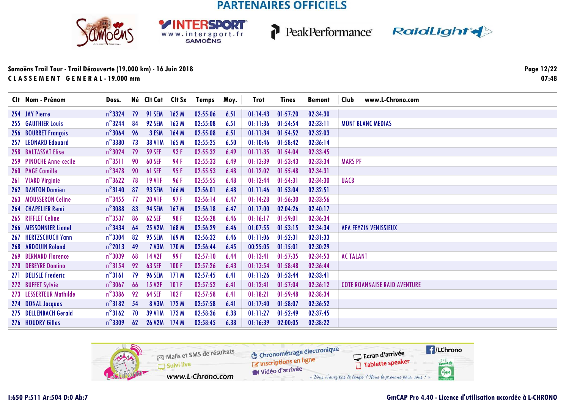**RSDORT** 

WWW.intersport.fr







### Samoëns Trail Tour - Trail Découverte (19.000 km) - 16 Juin 2018 CLASSEMENT GENERAL-19.000 mm

Page 12/22  $07:48$ 

| Clt Nom - Prénom            | Doss.            |    | Né Clt Cat Clt Sx  |       | Temps    | Moy. | Trot     | <b>Tines</b> | <b>Bemont</b> | www.L-Chrono.com<br>Club            |
|-----------------------------|------------------|----|--------------------|-------|----------|------|----------|--------------|---------------|-------------------------------------|
| 254 JAY Pierre              | $n^{\circ}$ 3324 | 79 | <b>91 SEM</b>      | 162M  | 02:55:06 | 6.51 | 01:14:43 | 01:57:20     | 02:34:30      |                                     |
| <b>255 GAUTHIER Louis</b>   | $n^{\circ}$ 3244 | 84 | 92 SEM             | 163 M | 02:55:08 | 6.51 | 01:11:36 | 01:54:54     | 02:33:11      | <b>MONT BLANC MEDIAS</b>            |
| 256 BOURRET François        | $n^{\circ}$ 3064 | 96 | 3 ESM              | 164 M | 02:55:08 | 6.51 | 01:11:34 | 01:54:52     | 02:32:03      |                                     |
| 257 LEONARD Edouard         | $n^{\circ}$ 3380 | 73 | <b>38 V1M</b>      | 165 M | 02:55:25 | 6.50 | 01:10:46 | 01:58:42     | 02:36:14      |                                     |
| 258 BALTASSAT Elise         | $n^{\circ}3024$  | 79 | <b>59 SEF</b>      | 93 F  | 02:55:32 | 6.49 | 01:11:35 | 01:54:04     | 02:33:45      |                                     |
| 259 PINOCHE Anne-cecile     | $n^{\circ}3511$  | 90 | 60 SEF             | 94 F  | 02:55:33 | 6.49 | 01:13:39 | 01:53:43     | 02:33:34      | <b>MARS PF</b>                      |
| 260 PAGE Camille            | $n^{\circ}$ 3478 | 90 | <b>61 SEF</b>      | 95 F  | 02:55:53 | 6.48 | 01:12:02 | 01:55:48     | 02:34:31      |                                     |
| 261 VIARD Virginie          | $n^{\circ}3622$  | 78 | <b>19 VIF</b>      | 96 F  | 02:55:55 | 6.48 | 01:12:44 | 01:54:31     | 02:34:30      | <b>UACB</b>                         |
| <b>262 DANTON Damien</b>    | $n^{\circ}3140$  | 87 | 93 SEM             | 166 M | 02:56:01 | 6.48 | 01:11:46 | 01:53:04     | 02:32:51      |                                     |
| 263 MOUSSERON Celine        | $n^{\circ}$ 3455 | 77 | <b>20 VIF</b>      | 97 F  | 02:56:14 | 6.47 | 01:14:28 | 01:56:30     | 02:33:56      |                                     |
| 264 CHAPELIER Remi          | $n^{\circ}$ 3088 | 83 | <b>94 SEM</b>      | 167 M | 02:56:18 | 6.47 | 01:17:00 | 02:04:26     | 02:40:17      |                                     |
| 265 RIFFLET Celine          | $n^{\circ}$ 3537 | 86 | <b>62 SEF</b>      | 98 F  | 02:56:28 | 6.46 | 01:16:17 | 01:59:01     | 02:36:34      |                                     |
| 266 MESSONNIER Lionel       | $n^{\circ}$ 3434 | 64 | <b>25 V2M</b>      | 168 M | 02:56:29 | 6.46 | 01:07:55 | 01:53:15     | 02:34:34      | <b>AFA FEYZIN VENISSIEUX</b>        |
| 267 HERTZSCHUCH Yann        | $n^{\circ}$ 3304 | 82 | <b>95 SEM</b>      | 169 M | 02:56:32 | 6.46 | 01:11:06 | 01:52:31     | 02:31:33      |                                     |
| 268 ARDOUIN Roland          | $n^{\circ}$ 2013 | 49 | <b>7 V3M</b>       | 170 M | 02:56:44 | 6.45 | 00:25:05 | 01:15:01     | 02:30:29      |                                     |
| <b>269 BERNARD Florence</b> | $n^{\circ}3039$  | 68 | 14 V <sub>2F</sub> | 99 F  | 02:57:10 | 6.44 | 01:13:41 | 01:57:35     | 02:34:53      | <b>AC TALANT</b>                    |
| 270 DEBEYRE Domino          | $n^{\circ}3154$  | 92 | <b>63 SEF</b>      | 100F  | 02:57:26 | 6.43 | 01:13:54 | 01:58:48     | 02:36:44      |                                     |
| 271 DELISLE Frederic        | $n^{\circ}$ 3161 | 79 | <b>96 SEM</b>      | 171M  | 02:57:45 | 6.41 | 01:11:26 | 01:53:44     | 02:33:41      |                                     |
| 272 BUFFET Sylvie           | $n^{\circ}$ 3067 | 66 | <b>15 V2F</b>      | 101F  | 02:57:52 | 6.41 | 01:12:41 | 01:57:04     | 02:36:12      | <b>COTE ROANNAISE RAID AVENTURE</b> |
| 273 LESSERTEUR Mathilde     | $n^{\circ}$ 3386 | 92 | <b>64 SEF</b>      | 102F  | 02:57:58 | 6.41 | 01:18:21 | 01:59:48     | 02:38:34      |                                     |
| 274 DONAL Jacques           | $n^{\circ}3182$  | 54 | <b>8 V3M</b>       | 172M  | 02:57:58 | 6.41 | 01:17:40 | 01:58:07     | 02:36:52      |                                     |
| 275 DELLENBACH Gerald       | $n^{\circ}3162$  | 70 | <b>39 V1M</b>      | 173M  | 02:58:36 | 6.38 | 01:11:27 | 01:52:49     | 02:37:45      |                                     |
| 276 HOUDRY Gilles           | $n^{\circ}$ 3309 | 62 | <b>26 V2M</b>      | 174M  | 02:58:45 | 6.38 | 01:16:39 | 02:00:05     | 02:38:22      |                                     |

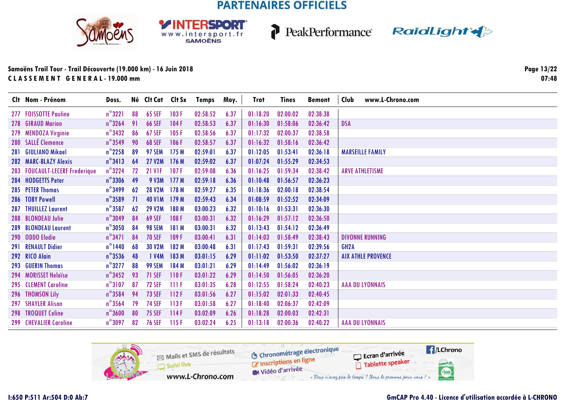**RSDORT** 

WWW.intersport.fr







### **Samoëns Trail Tour - Trail Découverte (19.000 km) - 16 Juin 2018C L A S S E M E N T G E N E R A L - 19.000 mm**

**Page 13/2207:48**

| Clt Nom - Prénom               | Doss.            |           | Né Clt Cat Clt Sx |       | Temps    | Moy. | Trot     | <b>Tines</b> | <b>Bemont</b> | Club<br>www.L-Chrono.com  |
|--------------------------------|------------------|-----------|-------------------|-------|----------|------|----------|--------------|---------------|---------------------------|
| 277 FOISSOTTE Pauline          | $n^{\circ}3221$  | 88        | <b>65 SEF</b>     | 103F  | 02:58:52 | 6.37 | 01:18:20 | 02:00:02     | 02:38:38      |                           |
| 278 GIRAUD Marion              | $n^{\circ}$ 3264 | 91        | <b>66 SEF</b>     | 104F  | 02:58:53 | 6.37 | 01:16:30 | 01:58:06     | 02:36:42      | <b>DSA</b>                |
| 279 MENDOZA Virginie           | $n^{\circ}$ 3432 | 86        | <b>67 SEF</b>     | 105F  | 02:58:56 | 6.37 | 01:17:32 | 02:00:37     | 02:38:58      |                           |
| 280 SALLÉ Clemence             | $n^{\circ}$ 3549 | 90        | <b>68 SEF</b>     | 106F  | 02:58:57 | 6.37 | 01:16:32 | 01:58:16     | 02:36:42      |                           |
| 281 GIULIANO Mikael            | $n^{\circ}$ 2258 | 89        | 97 SEM            | 175 M | 02:59:01 | 6.37 | 01:12:05 | 01:53:41     | 02:36:18      | <b>MARSEILLE FAMILY</b>   |
| 282 MARC-BLAZY Alexis          | $n^{\circ}3413$  | 64        | <b>27 V2M</b>     | 176M  | 02:59:02 | 6.37 | 01:07:24 | 01:55:29     | 02:34:53      |                           |
| 283 FOUCAULT-LECERF Frederique | $n^{\circ}$ 3224 | 72        | <b>21 V1F</b>     | 107F  | 02:59:08 | 6.36 | 01:16:25 | 01:59:34     | 02:38:42      | <b>ARVE ATHLETISME</b>    |
| 284 HODGETTS Peter             | $n^{\circ}$ 3306 | 49        | 9 V3M             | 177M  | 02:59:18 | 6.36 | 01:10:48 | 01:56:57     | 02:36:23      |                           |
| 285 PETER Thomas               | $n^{\circ}$ 3499 | 62        | <b>28 V2M</b>     | 178 M | 02:59:27 | 6.35 | 01:18:36 | 02:00:18     | 02:38:54      |                           |
| 286 TOBY Powell                | $n^{\circ}$ 3589 | <b>71</b> | <b>40 V1M</b>     | 179M  | 02:59:43 | 6.34 | 01:08:59 | 01:52:52     | 02:34:09      |                           |
| <b>287 THUILLEZ Laurent</b>    | $n^{\circ}$ 3587 | 62        | <b>29 V2M</b>     | 180 M | 03:00:23 | 6.32 | 01:10:16 | 01:53:31     | 02:36:30      |                           |
| 288 BLONDEAU Julie             | $n^{\circ}$ 3049 | 84        | <b>69 SEF</b>     | 108F  | 03:00:31 | 6.32 | 01:16:29 | 01:57:12     | 02:36:50      |                           |
| 289 BLONDEAU Laurent           | $n^{\circ}3050$  | 84        | <b>98 SEM</b>     | 181 M | 03:00:31 | 6.32 | 01:13:43 | 01:54:12     | 02:36:49      |                           |
| 290 ODDO Elodie                | $n^{\circ}$ 3471 | 84        | <b>70 SEF</b>     | 109F  | 03:00:41 | 6.31 | 01:14:03 | 01:58:49     | 02:38:43      | <b>DIVONNE RUNNING</b>    |
| 291 RENAULT Didier             | $n^{\circ}$ 1440 | 68        | 30 V2M            | 182 M | 03:00:48 | 6.31 | 01:17:43 | 01:59:31     | 02:39:56      | GH <sub>2</sub> A         |
| 292 RICO Alain                 | $n^{\circ}$ 3536 | 48        | 1 V4M             | 183 M | 03:01:15 | 6.29 | 01:11:02 | 01:53:50     | 02:37:27      | <b>AIX ATHLE PROVENCE</b> |
| 293 GUERIN Thomas              | $n^{\circ}3277$  | 88        | <b>99 SEM</b>     | 184 M | 03:01:21 | 6.29 | 01:14:49 | 01:56:02     | 02:36:19      |                           |
| 294 MORISSET Heloïse           | $n^{\circ}$ 3452 | 93        | <b>71 SEF</b>     | 110F  | 03:01:22 | 6.29 | 01:14:50 | 01:56:05     | 02:36:20      |                           |
| 295 CLEMENT Caroline           | $n^{\circ}3107$  | 87        | <b>72 SEF</b>     | 111F  | 03:01:35 | 6.28 | 01:12:55 | 01:58:24     | 02:40:23      | <b>AAA DU LYONNAIS</b>    |
| 296 THOMSON Lily               | $n^{\circ}$ 3584 | 94        | <b>73 SEF</b>     | 112F  | 03:01:56 | 6.27 | 01:15:02 | 02:01:33     | 02:40:45      |                           |
| <b>297 SHAYLER Alison</b>      | $n^{\circ}$ 3564 | 79        | <b>74 SEF</b>     | 113F  | 03:01:58 | 6.27 | 01:18:40 | 02:06:37     | 02:42:09      |                           |
| 298 TROQUET Celine             | $n^{\circ}3600$  | 80        | <b>75 SEF</b>     | 114F  | 03:02:09 | 6.26 | 01:18:28 | 02:00:03     | 02:42:31      |                           |
| <b>299 CHEVALIER Caroline</b>  | $n^{\circ}3097$  | 82        | <b>76 SEF</b>     | 115F  | 03:02:24 | 6.25 | 01:13:18 | 02:00:36     | 02:40:22      | <b>AAA DU LYONNAIS</b>    |

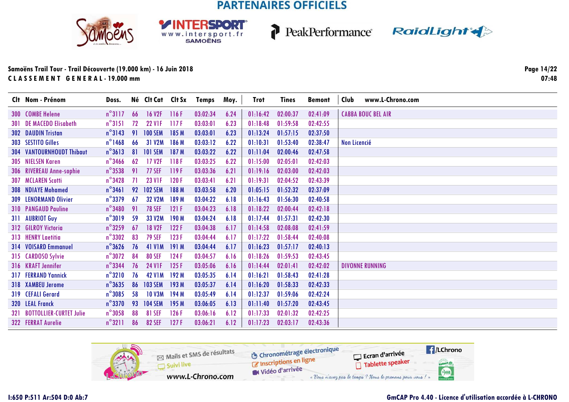SPORT

WWW.intersport.fr







### Samoëns Trail Tour - Trail Découverte (19.000 km) - 16 Juin 2018 CLASSEMENT GENERAL-19.000 mm

| Clt Nom - Prénom                 | Doss.            |    | Né Clt Cat Clt Sx   |       | <b>Temps</b> | Moy. | Trot     | <b>Tines</b> | <b>Bemont</b> | www.L-Chrono.com<br>Club  |
|----------------------------------|------------------|----|---------------------|-------|--------------|------|----------|--------------|---------------|---------------------------|
| 300 COMBE Helene                 | $n^{\circ}3117$  | 66 | 16 V2F 116 F        |       | 03:02:34     | 6.24 | 01:16:42 | 02:00:37     | 02:41:09      | <b>CABBA BOUC BEL AIR</b> |
| <b>301 DE MACEDO Elisabeth</b>   | $n^{\circ}$ 3151 | 72 | <b>22 VIF</b>       | 117F  | 03:03:01     | 6.23 | 01:18:48 | 01:59:58     | 02:42:55      |                           |
| <b>302 DAUDIN Tristan</b>        | $n^{\circ}3143$  | 91 | <b>100 SEM</b>      | 185 M | 03:03:01     | 6.23 | 01:13:24 | 01:57:15     | 02:37:50      |                           |
| 303 SESTITO Gilles               | $n^{\circ}$ 1468 | 66 | 31 V2M              | 186 M | 03:03:12     | 6.22 | 01:10:31 | 01:53:40     | 02:38:47      | Non Licencié              |
| <b>304 VANTOURNHOUDT Thibaut</b> | $n^{\circ}3613$  | 81 | <b>101 SEM</b>      | 187 M | 03:03:22     | 6.22 | 01:11:04 | 02:00:46     | 02:47:58      |                           |
| 305 NIELSEN Karen                | $n^{\circ}$ 3466 | 62 | 17 V <sub>2</sub> F | 118F  | 03:03:25     | 6.22 | 01:15:00 | 02:05:01     | 02:42:03      |                           |
| 306 RIVEREAU Anne-sophie         | $n^{\circ}$ 3538 | 91 | <b>77 SEF</b>       | 119F  | 03:03:36     | 6.21 | 01:19:16 | 02:03:00     | 02:42:03      |                           |
| <b>307 MCLAREN Scotti</b>        | $n^{\circ}$ 3428 | 71 | <b>23 V1F</b>       | 120F  | 03:03:41     | 6.21 | 01:19:31 | 02:04:52     | 02:43:39      |                           |
| 308 NDIAYE Mohamed               | $n^{\circ}$ 3461 | 92 | <b>102 SEM</b>      | 188 M | 03:03:58     | 6.20 | 01:05:15 | 01:52:32     | 02:37:09      |                           |
| <b>309 LENORMAND Olivier</b>     | $n^{\circ}$ 3379 | 67 | <b>32 V2M</b>       | 189 M | 03:04:22     | 6.18 | 01:16:43 | 01:56:30     | 02:40:58      |                           |
| <b>310 PANGAUD Pauline</b>       | $n^{\circ}$ 3480 | 91 | <b>78 SEF</b>       | 121F  | 03:04:23     | 6.18 | 01:18:22 | 02:00:44     | 02:42:18      |                           |
| 311 AUBRIOT Guy                  | $n^{\circ}3019$  | 59 | 33 V2M              | 190 M | 03:04:24     | 6.18 | 01:17:44 | 01:57:31     | 02:42:30      |                           |
| 312 GILROY Victoria              | $n^{\circ}$ 3259 | 67 | <b>18 V2F</b>       | 122F  | 03:04:38     | 6.17 | 01:14:58 | 02:08:08     | 02:41:59      |                           |
| 313 HENRY Laetitia               | $n^{\circ}3302$  | 83 | <b>79 SEF</b>       | 123F  | 03:04:44     | 6.17 | 01:17:22 | 01:58:44     | 02:40:08      |                           |
| 314 VOISARD Emmanuel             | $n^{\circ}3626$  | 76 | <b>41 V1M</b>       | 191M  | 03:04:44     | 6.17 | 01:16:23 | 01:57:17     | 02:40:13      |                           |
| 315 CARDOSO Sylvie               | $n^{\circ}3072$  | 84 | <b>80 SEF</b>       | 124F  | 03:04:57     | 6.16 | 01:18:26 | 01:59:53     | 02:43:45      |                           |
| 316 KRAFT Jennifer               | $n^{\circ}$ 3344 | 76 | <b>24 V1F</b>       | 125F  | 03:05:06     | 6.16 | 01:14:44 | 02:01:41     | 02:42:02      | <b>DIVONNE RUNNING</b>    |
| <b>317 FERRAND Yannick</b>       | $n^{\circ}3210$  | 76 | <b>42 V1M</b>       | 192 M | 03:05:35     | 6.14 | 01:16:21 | 01:58:43     | 02:41:28      |                           |
| 318 XAMBEU Jerome                | $n^{\circ}3635$  | 86 | <b>103 SEM</b>      | 193 M | 03:05:37     | 6.14 | 01:16:20 | 01:58:33     | 02:42:33      |                           |
| 319 CEFALI Gerard                | $n^{\circ}$ 3085 | 58 | <b>10 V3M</b>       | 194 M | 03:05:49     | 6.14 | 01:12:37 | 01:59:06     | 02:42:24      |                           |
| 320 LEAL Franck                  | $n^{\circ}$ 3370 | 93 | <b>104 SEM</b>      | 195 M | 03:06:05     | 6.13 | 01:11:40 | 01:57:20     | 02:43:45      |                           |
| 321 BOTTOLLIER-CURTET Julie      | $n^{\circ}3058$  | 88 | <b>81 SEF</b>       | 126F  | 03:06:16     | 6.12 | 01:17:33 | 02:01:32     | 02:42:25      |                           |
| 322 FERRAT Aurelie               | $n^{\circ}3211$  | 86 | <b>82 SEF</b>       | 127F  | 03:06:21     | 6.12 | 01:17:23 | 02:03:17     | 02:43:36      |                           |

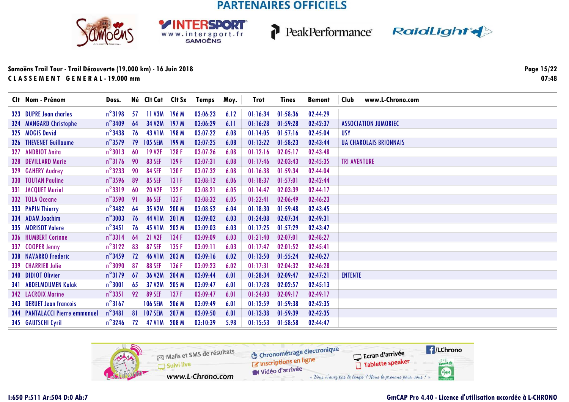**RSDORT** 

WWW.intersport.fr







### Samoëns Trail Tour - Trail Découverte (19.000 km) - 16 Juin 2018 CLASSEMENT GENERAL-19.000 mm

Page 15/22  $07:48$ 

| Clt Nom - Prénom                      | Doss.            |    | Né Clt Cat Clt Sx |                  | Temps    | Moy. | Trot     | <b>Tines</b> | <b>Bemont</b> | www.L-Chrono.com<br>Club      |
|---------------------------------------|------------------|----|-------------------|------------------|----------|------|----------|--------------|---------------|-------------------------------|
| 323 DUPRE Jean charles                | $n^{\circ}3198$  | 57 | 11 V3M 196 M      |                  | 03:06:23 | 6.12 | 01:16:34 | 01:58:36     | 02:44:29      |                               |
| 324 MANGARD Christophe                | $n^{\circ}$ 3409 | 64 | 34 V2M            | 197 <sub>M</sub> | 03:06:29 | 6.11 | 01:16:28 | 01:59:28     | 02:42:37      | <b>ASSOCIATION JUMORIEC</b>   |
| 325 MOGIS David                       | $n^{\circ}$ 3438 | 76 | <b>43 V1M</b>     | 198 M            | 03:07:22 | 6.08 | 01:14:05 | 01:57:16     | 02:45:04      | <b>USY</b>                    |
| 326 THEVENET Guillaume                | $n^{\circ}$ 3579 | 79 | <b>105 SEM</b>    | 199 M            | 03:07:25 | 6.08 | 01:13:22 | 01:58:23     | 02:43:44      | <b>UA CHAROLAIS BRIONNAIS</b> |
| 327 ANDRIOT Anita                     | $n^{\circ}3013$  | 60 | <b>19 V2F</b>     | 128F             | 03:07:26 | 6.08 | 01:12:16 | 02:05:17     | 02:43:48      |                               |
| 328 DEVILLARD Marie                   | $n^{\circ}3176$  | 90 | <b>83 SEF</b>     | 129F             | 03:07:31 | 6.08 | 01:17:46 | 02:03:43     | 02:45:35      | <b>TRI AVENTURE</b>           |
| 329 GAHERY Audrey                     | $n^{\circ}$ 3233 | 90 | <b>84 SEF</b>     | 130 F            | 03:07:32 | 6.08 | 01:16:38 | 01:59:34     | 02:44:04      |                               |
| <b>330 TOUTAN Pauline</b>             | $n^{\circ}$ 3596 | 89 | <b>85 SEF</b>     | 131F             | 03:08:12 | 6.06 | 01:18:37 | 01:57:01     | 02:42:44      |                               |
| 331 JACQUET Muriel                    | $n^{\circ}3319$  | 60 | <b>20 V2F</b>     | 132F             | 03:08:21 | 6.05 | 01:14:47 | 02:03:39     | 02:44:17      |                               |
| 332 TOLA Oceane                       | $n^{\circ}$ 3590 | 91 | <b>86 SEF</b>     | 133 F            | 03:08:32 | 6.05 | 01:22:41 | 02:06:49     | 02:46:23      |                               |
| 333 PAPIN Thierry                     | $n^{\circ}$ 3482 | 64 | 35 V2M            | 200 M            | 03:08:52 | 6.04 | 01:18:30 | 01:59:48     | 02:43:45      |                               |
| 334 ADAM Joachim                      | $n^{\circ}3003$  | 76 | <b>44 V1M</b>     | 201 M            | 03:09:02 | 6.03 | 01:24:08 | 02:07:34     | 02:49:31      |                               |
| 335 MORISOT Valere                    | $n^{\circ}$ 3451 | 76 | <b>45 V1M</b>     | 202 M            | 03:09:03 | 6.03 | 01:17:25 | 01:57:29     | 02:43:47      |                               |
| 336 HUMBERT Corinne                   | $n^{\circ}3314$  | 64 | 21 V2F            | 134F             | 03:09:09 | 6.03 | 01:21:40 | 02:07:01     | 02:48:27      |                               |
| 337 COOPER Jenny                      | $n^{\circ}3122$  | 83 | <b>87 SEF</b>     | 135 F            | 03:09:11 | 6.03 | 01:17:47 | 02:01:52     | 02:45:41      |                               |
| 338 NAVARRO Frederic                  | $n^{\circ}$ 3459 | 72 | <b>46 V1M</b>     | 203 M            | 03:09:16 | 6.02 | 01:13:50 | 01:55:24     | 02:40:27      |                               |
| 339 CHARRIER Julie                    | $n^{\circ}3090$  | 87 | <b>88 SEF</b>     | 136 F            | 03:09:23 | 6.02 | 01:17:31 | 02:04:32     | 02:46:28      |                               |
| 340 DIDIOT Olivier                    | $n^{\circ}3179$  | 67 | 36 V2M            | 204 M            | 03:09:44 | 6.01 | 01:28:34 | 02:09:47     | 02:47:21      | <b>ENTENTE</b>                |
| 341 ABDELMOUMEN Kalak                 | $n^{\circ}3001$  | 65 | 37 V2M            | 205 M            | 03:09:47 | 6.01 | 01:17:28 | 02:02:57     | 02:45:13      |                               |
| 342 LACROIX Marine                    | $n^{\circ}$ 3351 | 92 | <b>89 SEF</b>     | 137 F            | 03:09:47 | 6.01 | 01:24:03 | 02:09:17     | 02:49:17      |                               |
| <b>343 DERUET Jean francois</b>       | $n^{\circ}3167$  |    | <b>106 SEM</b>    | 206 M            | 03:09:49 | 6.01 | 01:12:59 | 01:59:38     | 02:42:35      |                               |
| <b>344 PANTALACCI Pierre emmanuel</b> | $n^{\circ}$ 3481 | 81 | <b>107 SEM</b>    | 207 M            | 03:09:50 | 6.01 | 01:13:38 | 01:59:39     | 02:42:35      |                               |
| 345 GAUTSCHI Cyril                    | $n^{\circ}$ 3246 | 72 | <b>47 V1M</b>     | 208 M            | 03:10:39 | 5.98 | 01:15:53 | 01:58:58     | 02:44:47      |                               |

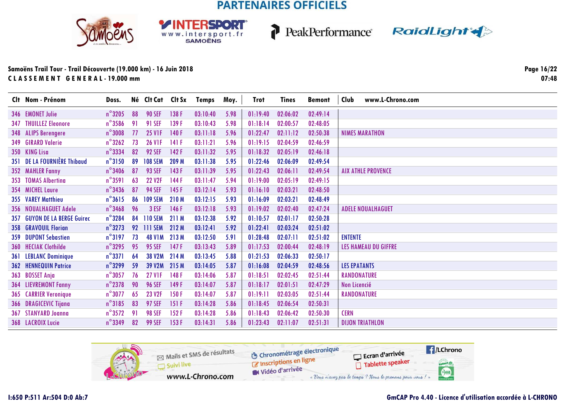SPORT

WWW.intersport.fr







| Clt Nom - Prénom             | Doss.            |    | Né Clt Cat Clt Sx |       | <b>Temps</b> | Moy. | <b>Trot</b> | Tines    | <b>Bemont</b> | Club<br>www.L-Chrono.com    |
|------------------------------|------------------|----|-------------------|-------|--------------|------|-------------|----------|---------------|-----------------------------|
| 346 EMONET Julie             | $n^{\circ}3205$  | 88 | <b>90 SEF</b>     | 138F  | 03:10:40     | 5.98 | 01:19:40    | 02:06:02 | 02:49:14      |                             |
| <b>347 THUILLEZ Eleonore</b> | $n^{\circ}$ 3586 | 91 | <b>91 SEF</b>     | 139 F | 03:10:43     | 5.98 | 01:18:14    | 02:00:57 | 02:48:05      |                             |
| 348 ALIPS Berengere          | $n^{\circ}3008$  | 77 | <b>25 VIF</b>     | 140F  | 03:11:18     | 5.96 | 01:22:47    | 02:11:12 | 02:50:38      | <b>NIMES MARATHON</b>       |
| 349 GIRARD Valerie           | $n^{\circ}$ 3262 | 73 | <b>26 VIF</b>     | 141F  | 03:11:21     | 5.96 | 01:19:15    | 02:04:59 | 02:46:59      |                             |
| 350 KING Lisa                | $n^{\circ}$ 3334 | 82 | <b>92 SEF</b>     | 142 F | 03:11:32     | 5.95 | 01:18:32    | 02:05:19 | 02:46:18      |                             |
| 351 DE LA FOURNIÈRE Thibaud  | $n^{\circ}3150$  | 89 | <b>108 SEM</b>    | 209 M | 03:11:38     | 5.95 | 01:22:46    | 02:06:09 | 02:49:54      |                             |
| 352 MAHLER Fanny             | $n^{\circ}$ 3406 | 87 | <b>93 SEF</b>     | 143F  | 03:11:39     | 5.95 | 01:22:43    | 02:06:11 | 02:49:54      | <b>AIX ATHLE PROVENCE</b>   |
| 353 TOMAS Alberting          | $n^{\circ}3591$  | 63 | <b>22 V2F</b>     | 144F  | 03:11:47     | 5.94 | 01:19:00    | 02:05:19 | 02:49:15      |                             |
| 354 MICHEL Laure             | $n^{\circ}$ 3436 | 87 | <b>94 SEF</b>     | 145F  | 03:12:14     | 5.93 | 01:16:10    | 02:03:21 | 02:48:50      |                             |
| 355 VAREY Matthieu           | $n^{\circ}3615$  | 86 | <b>109 SEM</b>    | 210M  | 03:12:15     | 5.93 | 01:16:09    | 02:03:21 | 02:48:49      |                             |
| 356 NOUALHAGUET Adele        | $n^{\circ}$ 3468 | 96 | 3 ESF             | 146F  | 03:12:18     | 5.93 | 01:19:02    | 02:02:40 | 02:47:24      | <b>ADELE NOUALHAGUET</b>    |
| 357 GUYON DE LA BERGE Guirec | $n^{\circ}$ 3284 | 84 | <b>110 SEM</b>    | 211 M | 03:12:38     | 5.92 | 01:10:57    | 02:01:17 | 02:50:28      |                             |
| <b>358 GRAVOUIL Florian</b>  | $n^{\circ}3273$  | 92 | <b>111 SEM</b>    | 212 M | 03:12:41     | 5.92 | 01:22:41    | 02:03:24 | 02:51:02      |                             |
| <b>359 DUPONT Sebastien</b>  | $n^{\circ}3197$  | 73 | <b>48 V1M</b>     | 213 M | 03:12:50     | 5.91 | 01:28:48    | 02:07:11 | 02:51:02      | <b>ENTENTE</b>              |
| 360 HECIAK Clothilde         | $n^{\circ}$ 3295 | 95 | <b>95 SEF</b>     | 147F  | 03:13:43     | 5.89 | 01:17:53    | 02:00:44 | 02:48:19      | <b>LES HAMEAU DU GIFFRE</b> |
| 361 LEBLANC Dominique        | $n^{\circ}$ 3371 | 64 | <b>38 V2M</b>     | 214 M | 03:13:45     | 5.88 | 01:21:53    | 02:06:33 | 02:50:17      |                             |
| <b>362 HENNEQUIN Patrice</b> | $n^{\circ}$ 3299 | 59 | 39 V2M            | 215 M | 03:14:05     | 5.87 | 01:16:08    | 02:04:59 | 02:48:56      | <b>LES EPATANTS</b>         |
| 363 BOSSET Anja              | $n^{\circ}3057$  | 76 | <b>27 V1F</b>     | 148F  | 03:14:06     | 5.87 | 01:18:51    | 02:02:45 | 02:51:44      | RANDONATURE                 |
| <b>364 LIEVREMONT Fanny</b>  | $n^{\circ}$ 2378 | 90 | <b>96 SEF</b>     | 149 F | 03:14:07     | 5.87 | 01:18:17    | 02:01:51 | 02:47:29      | Non Licencié                |
| <b>365 CARRIER Veronique</b> | $n^{\circ}3077$  | 65 | 23 V2F            | 150 F | 03:14:07     | 5.87 | 01:19:11    | 02:03:05 | 02:51:44      | <b>RANDONATURE</b>          |
| 366 DRAGICEVIC Tijana        | $n^{\circ}3185$  | 83 | <b>97 SEF</b>     | 151F  | 03:14:28     | 5.86 | 01:18:45    | 02:06:54 | 02:50:31      |                             |
| 367 STANYARD Joanna          | $n^{\circ}$ 3572 | 91 | <b>98 SEF</b>     | 152F  | 03:14:28     | 5.86 | 01:18:43    | 02:06:42 | 02:50:30      | <b>CERN</b>                 |
| <b>368 LACROIX Lucie</b>     | $n^{\circ}$ 3349 | 82 | <b>99 SEF</b>     | 153F  | 03:14:31     | 5.86 | 01:23:43    | 02:11:07 | 02:51:31      | <b>DIJON TRIATHLON</b>      |

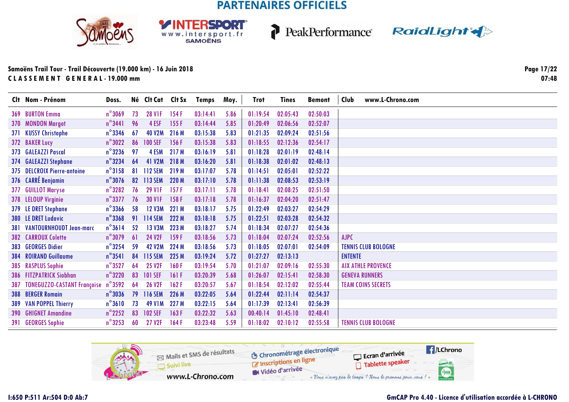SPORT

WWW.intersport.fr



P



### **Samoëns Trail Tour - Trail Découverte (19.000 km) - 16 Juin 2018C L A S S E M E N T G E N E R A L - 19.000 mm**

**Page 17/2207:48**

|     | Clt Nom - Prénom                       | Doss.            |    | Né Clt Cat Clt Sx |       | Temps    | Moy. | <b>Trot</b> | <b>Tines</b> | <b>Bemont</b> | Club           | www.L-Chrono.com           |
|-----|----------------------------------------|------------------|----|-------------------|-------|----------|------|-------------|--------------|---------------|----------------|----------------------------|
|     | 369 BURTON Emma                        | $n^{\circ}$ 3069 | 73 | <b>28 VIF</b>     | 154 F | 03:14:41 | 5.86 | 01:19:54    | 02:05:43     | 02:50:03      |                |                            |
|     | 370 MONDON Margot                      | $n^{\circ}$ 3441 | 96 | 4 ESF             | 155 F | 03:14:44 | 5.85 | 01:20:49    | 02:06:56     | 02:52:07      |                |                            |
|     | 371 KUSSY Christophe                   | $n^{\circ}$ 3346 | 67 | <b>40 V2M</b>     | 216 M | 03:15:38 | 5.83 | 01:21:35    | 02:09:24     | 02:51:56      |                |                            |
|     | 372 BAKER Lucy                         | $n^{\circ}3022$  | 86 | <b>100 SEF</b>    | 156F  | 03:15:38 | 5.83 | 01:18:55    | 02:12:36     | 02:54:17      |                |                            |
|     | 373 GALEAZZI Pascal                    | $n^{\circ}$ 3236 | 97 | 4 ESM             | 217 M | 03:16:19 | 5.81 | 01:18:28    | 02:01:19     | 02:48:14      |                |                            |
|     | 374 GALEAZZI Stephane                  | $n^{\circ}$ 3234 | 64 | 41 V2M            | 218 M | 03:16:20 | 5.81 | 01:18:38    | 02:01:02     | 02:48:13      |                |                            |
|     | 375 DELCROIX Pierre-antoine            | $n^{\circ}3158$  |    | 81 112 SEM        | 219 M | 03:17:07 | 5.78 | 01:14:51    | 02:05:01     | 02:52:22      |                |                            |
|     | 376 CARRÉ Benjamin                     | $n^{\circ}$ 3076 | 82 | 113 SEM           | 220 M | 03:17:10 | 5.78 | 01:11:38    | 02:08:53     | 02:53:19      |                |                            |
| 377 | <b>GUILLOT Maryse</b>                  | $n^{\circ}$ 3282 | 76 | <b>29 V1F</b>     | 157F  | 03:17:11 | 5.78 | 01:18:41    | 02:08:25     | 02:51:50      |                |                            |
|     | 378 LELOUP Virginie                    | $n^{\circ}$ 3377 | 76 | <b>30 V1F</b>     | 158 F | 03:17:18 | 5.78 | 01:16:37    | 02:04:20     | 02:51:47      |                |                            |
|     | 379 LE DRET Stephane                   | $n^{\circ}$ 3366 | 58 | <b>12 V3M</b>     | 221 M | 03:18:17 | 5.75 | 01:22:49    | 02:03:27     | 02:54:29      |                |                            |
|     | 380 LE DRET Ludovic                    | $n^{\circ}$ 3368 | 91 | <b>114 SEM</b>    | 222 M | 03:18:18 | 5.75 | 01:22:51    | 02:03:28     | 02:54:32      |                |                            |
|     | 381 VANTOURNHOUDT Jean-marc            | $n^{\circ}3614$  | 52 | 13 V3M            | 223 M | 03:18:27 | 5.74 | 01:18:34    | 02:07:27     | 02:54:36      |                |                            |
|     | <b>382 CARROUX Colette</b>             | $n^{\circ}3079$  | 61 | <b>24 V2F</b>     | 159 F | 03:18:56 | 5.73 | 01:18:04    | 02:07:24     | 02:52:56      | AJPC           |                            |
|     | 383 GEORGES Didier                     | $n^{\circ}$ 3254 | 59 | <b>42 V2M</b>     | 224 M | 03:18:56 | 5.73 | 01:18:05    | 02:07:01     | 02:54:09      |                | <b>TENNIS CLUB BOLOGNE</b> |
|     | 384 ROIRAND Guillaume                  | $n^{\circ}$ 3541 | 84 | <b>115 SEM</b>    | 225 M | 03:19:24 | 5.72 | 01:27:27    | 02:13:13     |               | <b>ENTENTE</b> |                            |
|     | 385 RASPLUS Sophie                     | $n^{\circ}$ 3527 | 64 | <b>25 V2F</b>     | 160F  | 03:19:54 | 5.70 | 01:21:07    | 02:09:16     | 02:55:30      |                | <b>AIX ATHLE PROVENCE</b>  |
|     | 386 FITZPATRICK Siobhan                | $n^{\circ}3220$  | 83 | <b>101 SEF</b>    | 161F  | 03:20:39 | 5.68 | 01:26:07    | 02:15:41     | 02:58:30      |                | <b>GENEVA RUNNERS</b>      |
|     | 387 TONEGUZZO-CASTANT Françoise n°3592 |                  | 64 | <b>26 V2F</b>     | 162F  | 03:20:57 | 5.67 | 01:18:54    | 02:12:02     | 02:55:44      |                | <b>TEAM COINS SECRETS</b>  |
|     | <b>388 BERGER Romain</b>               | $n^{\circ}3036$  | 79 | 116 SEM           | 226 M | 03:22:05 | 5.64 | 01:22:44    | 02:11:14     | 02:54:37      |                |                            |
|     | 389 VAN POPPEL Thierry                 | $n^{\circ}3610$  | 73 | <b>49 V1M</b>     | 227 M | 03:22:15 | 5.64 | 01:17:39    | 02:13:41     | 02:56:39      |                |                            |
|     | <b>390 GHIGNET Amandine</b>            | $n^{\circ}$ 2252 | 83 | <b>102 SEF</b>    | 163F  | 03:22:32 | 5.63 | 00:40:14    | 01:45:10     | 02:48:41      |                |                            |
|     | 391 GEORGES Sophie                     | $n^{\circ}$ 3253 | 60 | <b>27 V2F</b>     | 164F  | 03:23:48 | 5.59 | 01:18:02    | 02:10:12     | 02:55:58      |                | <b>TENNIS CLUB BOLOGNE</b> |
|     |                                        |                  |    |                   |       |          |      |             |              |               |                |                            |

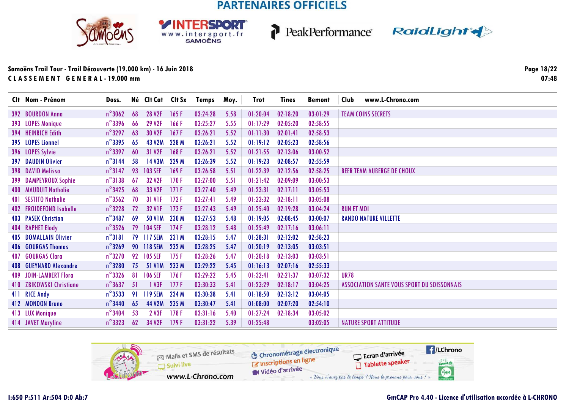SPORT

WWW.intersport.fr







### **Samoëns Trail Tour - Trail Découverte (19.000 km) - 16 Juin 2018C L A S S E M E N T G E N E R A L - 19.000 mm**

|     | Clt Nom - Prénom             | Doss.            |    | Né Clt Cat Clt Sx |       | Temps    | Moy. | Trot     | <b>Tines</b> | <b>Bemont</b> | Club<br>www.L-Chrono.com                           |
|-----|------------------------------|------------------|----|-------------------|-------|----------|------|----------|--------------|---------------|----------------------------------------------------|
|     | 392 BOURDON Anna             | $n^{\circ}3062$  | 68 | 28 V2F            | 165F  | 03:24:28 | 5.58 | 01:20:04 | 02:18:20     | 03:01:29      | <b>TEAM COINS SECRETS</b>                          |
|     | 393 LOPES Monique            | $n^{\circ}$ 3396 | 66 | 29 V2F            | 166 F | 03:25:27 | 5.55 | 01:17:29 | 02:05:20     | 02:58:55      |                                                    |
|     | 394 HEINRICH Edith           | $n^{\circ}$ 3297 | 63 | 30 V2F            | 167F  | 03:26:21 | 5.52 | 01:11:30 | 02:01:41     | 02:58:53      |                                                    |
|     | 395 LOPES Lionnel            | $n^{\circ}$ 3395 | 65 | <b>43 V2M</b>     | 228 M | 03:26:21 | 5.52 | 01:19:12 | 02:05:23     | 02:58:56      |                                                    |
|     | 396 LOPES Sylvie             | $n^{\circ}$ 3397 | 60 | 31 V2F            | 168 F | 03:26:21 | 5.52 | 01:21:55 | 02:13:06     | 03:00:52      |                                                    |
|     | <b>397 DAUDIN Olivier</b>    | $n^{\circ}$ 3144 | 58 | 14 V3M            | 229 M | 03:26:39 | 5.52 | 01:19:23 | 02:08:57     | 02:55:59      |                                                    |
|     | 398 DAVID Melissa            | $n^{\circ}$ 3147 | 93 | <b>103 SEF</b>    | 169F  | 03:26:58 | 5.51 | 01:22:39 | 02:12:56     | 02:58:25      | <b>BEER TEAM AUBERGE DE CHOUX</b>                  |
|     | 399 DAMPEYROUX Sophie        | $n^{\circ}3138$  | 67 | 32 V2F            | 170F  | 03:27:00 | 5.51 | 01:21:42 | 02:09:09     | 03:00:53      |                                                    |
|     | 400 MAUDUIT Nathalie         | $n^{\circ}$ 3425 | 68 | 33 V2F            | 171F  | 03:27:40 | 5.49 | 01:23:31 | 02:17:11     | 03:05:53      |                                                    |
|     | 401 SESTITO Nathalie         | $n^{\circ}$ 3562 | 70 | <b>31 VIF</b>     | 172F  | 03:27:41 | 5.49 | 01:23:32 | 02:18:11     | 03:05:08      |                                                    |
|     | 402 FROIDEFOND Isabelle      | $n^{\circ}$ 3228 | 72 | <b>32 V1F</b>     | 173F  | 03:27:43 | 5.49 | 01:25:40 | 02:19:28     | 03:04:24      | <b>RUN ET MOI</b>                                  |
|     | <b>403 PASEK Christian</b>   | $n^{\circ}$ 3487 | 69 | <b>50 V1M</b>     | 230 M | 03:27:53 | 5.48 | 01:19:05 | 02:08:45     | 03:00:07      | <b>RANDO NATURE VILLETTE</b>                       |
|     | <b>404 RAPHET Elody</b>      | $n^{\circ}$ 3526 | 79 | <b>104 SEF</b>    | 174 F | 03:28:12 | 5.48 | 01:25:49 | 02:17:16     | 03:06:11      |                                                    |
|     | <b>405 DOMALLAIN Olivier</b> | $n^{\circ}3181$  | 79 | <b>117 SEM</b>    | 231 M | 03:28:15 | 5.47 | 01:28:31 | 02:12:02     | 02:58:23      |                                                    |
|     | 406 GOURGAS Thomas           | $n^{\circ}$ 3269 | 90 | <b>118 SEM</b>    | 232 M | 03:28:25 | 5.47 | 01:20:19 | 02:13:05     | 03:03:51      |                                                    |
| 407 | <b>GOURGAS Clara</b>         | $n^{\circ}$ 3270 | 92 | <b>105 SEF</b>    | 175F  | 03:28:26 | 5.47 | 01:20:18 | 02:13:03     | 03:03:51      |                                                    |
| 408 | <b>GUEYNARD Alexandre</b>    | $n^{\circ}$ 3280 | 75 | <b>51 V1M</b>     | 233 M | 03:29:22 | 5.45 | 01:16:13 | 02:07:16     | 02:55:33      |                                                    |
|     | 409 JOIN-LAMBERT Flora       | $n^{\circ}$ 3326 | 81 | <b>106 SEF</b>    | 176 F | 03:29:22 | 5.45 | 01:32:41 | 02:21:37     | 03:07:32      | <b>UR78</b>                                        |
|     | 410 ZBIKOWSKI Christiane     | $n^{\circ}$ 3637 | 51 | 1 V3F             | 177F  | 03:30:33 | 5.41 | 01:23:29 | 02:18:17     | 03:04:25      | <b>ASSOCIATION SANTE VOUS SPORT DU SOISSONNAIS</b> |
|     | 411 RICE Andy                | $n^{\circ}$ 3533 | 91 | <b>119 SEM</b>    | 234 M | 03:30:38 | 5.41 | 01:18:50 | 02:13:12     | 03:04:05      |                                                    |
|     | 412 MONDON Bruno             | $n^{\circ}$ 3440 | 65 | 44 V2M            | 235 M | 03:30:47 | 5.41 | 01:08:00 | 02:07:20     | 02:54:10      |                                                    |
|     | 413 LUX Monique              | $n^{\circ}$ 3404 | 53 | 2 V3F             | 178F  | 03:31:16 | 5.40 | 01:27:24 | 02:18:34     | 03:05:02      |                                                    |
|     | 414 JAVET Maryline           | $n^{\circ}$ 3323 | 62 | 34 V2F            | 179F  | 03:31:22 | 5.39 | 01:25:48 |              | 03:02:05      | <b>NATURE SPORT ATTITUDE</b>                       |

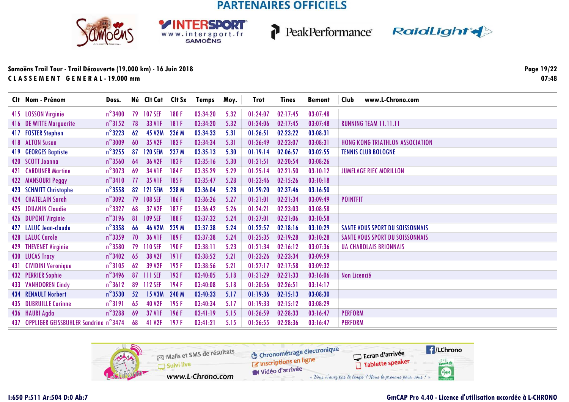**RSDORT** 

WWW.intersport.fr



P



### **Samoëns Trail Tour - Trail Découverte (19.000 km) - 16 Juin 2018C L A S S E M E N T G E N E R A L - 19.000 mm**

**Page 19/2207:48**

|     | Clt Nom - Prénom                         | Doss.            |    | Né Clt Cat Clt Sx  |       | Temps    | Moy. | Trot     | Tines    | <b>Bemont</b> | www.L-Chrono.com<br>Club               |
|-----|------------------------------------------|------------------|----|--------------------|-------|----------|------|----------|----------|---------------|----------------------------------------|
|     | 415 LOSSON Virginie                      | $n^{\circ}$ 3400 | 79 | <b>107 SEF</b>     | 180F  | 03:34:20 | 5.32 | 01:24:07 | 02:17:45 | 03:07:48      |                                        |
|     | 416 DE WITTE Marguerite                  | $n^{\circ}3152$  | 78 | 33 V <sub>IF</sub> | 181F  | 03:34:20 | 5.32 | 01:24:06 | 02:17:45 | 03:07:48      | <b>RUNNING TEAM 11.11.11</b>           |
|     | 417 FOSTER Stephen                       | $n^{\circ}3223$  | 62 | <b>45 V2M</b>      | 236 M | 03:34:33 | 5.31 | 01:26:51 | 02:23:22 | 03:08:31      |                                        |
|     | 418 ALTON Susan                          | $n^{\circ}3009$  | 60 | 35 V2F             | 182F  | 03:34:34 | 5.31 | 01:26:49 | 02:23:07 | 03:08:31      | <b>HONG KONG TRIATHLON ASSOCIATION</b> |
| 419 | <b>GEORGES Baptiste</b>                  | $n^{\circ}$ 3255 | 87 | <b>120 SEM</b>     | 237 M | 03:35:13 | 5.30 | 01:19:14 | 02:06:57 | 03:02:55      | <b>TENNIS CLUB BOLOGNE</b>             |
|     | 420 SCOTT Joanna                         | $n^{\circ}$ 3560 | 64 | 36 V2F             | 183F  | 03:35:16 | 5.30 | 01:21:51 | 02:20:54 | 03:08:26      |                                        |
|     | <b>421 CARDUNER Martine</b>              | $n^{\circ}3073$  | 69 | <b>34 V1F</b>      | 184F  | 03:35:29 | 5.29 | 01:25:14 | 02:21:50 | 03:10:12      | <b>JUMELAGE RIEC MORILLON</b>          |
|     | 422 MANSOURI Peggy                       | $n^{\circ}3410$  | 77 | <b>35 VIF</b>      | 185F  | 03:35:47 | 5.28 | 01:23:46 | 02:15:26 | 03:10:18      |                                        |
|     | 423 SCHMITT Christophe                   | $n^{\circ}$ 3558 | 82 | <b>121 SEM</b>     | 238 M | 03:36:04 | 5.28 | 01:29:20 | 02:37:46 | 03:16:50      |                                        |
|     | <b>424 CHATELAIN Sarah</b>               | $n^{\circ}3092$  | 79 | <b>108 SEF</b>     | 186 F | 03:36:26 | 5.27 | 01:31:01 | 02:21:34 | 03:09:49      | <b>POINTFIT</b>                        |
| 425 | <b>JOUANIN Claudie</b>                   | $n^{\circ}$ 3327 | 68 | 37 V2F             | 187 F | 03:36:42 | 5.26 | 01:24:21 | 02:23:03 | 03:08:58      |                                        |
|     | 426 DUPONT Virginie                      | $n^{\circ}3196$  | 81 | <b>109 SEF</b>     | 188F  | 03:37:32 | 5.24 | 01:27:01 | 02:21:06 | 03:10:58      |                                        |
|     | 427 LALUC Jean-claude                    | $n^{\circ}$ 3358 | 66 | <b>46 V2M</b>      | 239 M | 03:37:38 | 5.24 | 01:22:57 | 02:18:16 | 03:10:29      | <b>SANTE VOUS SPORT DU SOISSONNAIS</b> |
|     | 428 LALUC Carole                         | $n^{\circ}$ 3359 | 70 | <b>36 VIF</b>      | 189F  | 03:37:38 | 5.24 | 01:25:35 | 02:19:28 | 03:10:28      | <b>SANTE VOUS SPORT DU SOISSONNAIS</b> |
| 429 | <b>THEVENET Virginie</b>                 | $n^{\circ}$ 3580 | 79 | 110 SEF            | 190F  | 03:38:11 | 5.23 | 01:21:34 | 02:16:12 | 03:07:36      | <b>UA CHAROLAIS BRIONNAIS</b>          |
|     | 430 LUCAS Tracy                          | $n^{\circ}$ 3402 | 65 | 38 V2F             | 191F  | 03:38:52 | 5.21 | 01:23:26 | 02:23:34 | 03:09:59      |                                        |
|     | 431 CIVIDINI Veronique                   | $n^{\circ}3105$  | 62 | 39 V2F             | 192F  | 03:38:56 | 5.21 | 01:27:17 | 02:17:58 | 03:09:32      |                                        |
|     | <b>432 PERRIER Sophie</b>                | $n^{\circ}$ 3496 | 87 | 111 SEF            | 193F  | 03:40:05 | 5.18 | 01:31:29 | 02:21:33 | 03:16:06      | Non Licencié                           |
|     | <b>433 VANHOOREN Cindy</b>               | $n^{\circ}3612$  | 89 | 112 SEF            | 194F  | 03:40:08 | 5.18 | 01:30:56 | 02:26:51 | 03:14:17      |                                        |
|     | <b>434 RENAULT Norbert</b>               | $n^{\circ}$ 3530 | 52 | 15 V3M             | 240 M | 03:40:33 | 5.17 | 01:19:36 | 02:15:13 | 03:08:30      |                                        |
|     | <b>435 DUBRUILLE Corinne</b>             | $n^{\circ}3191$  | 65 | <b>40 V2F</b>      | 195F  | 03:40:34 | 5.17 | 01:19:33 | 02:15:12 | 03:08:29      |                                        |
|     | 436 HAURI Agda                           | $n^{\circ}$ 3288 | 69 | <b>37 V1F</b>      | 196F  | 03:41:19 | 5.15 | 01:26:59 | 02:28:33 | 03:16:47      | <b>PERFORM</b>                         |
|     | 437 OPPLIGER GEISSBUHLER Sandrine n°3474 |                  | 68 | 41 V2F             | 197F  | 03:41:21 | 5.15 | 01:26:55 | 02:28:36 | 03:16:47      | <b>PERFORM</b>                         |

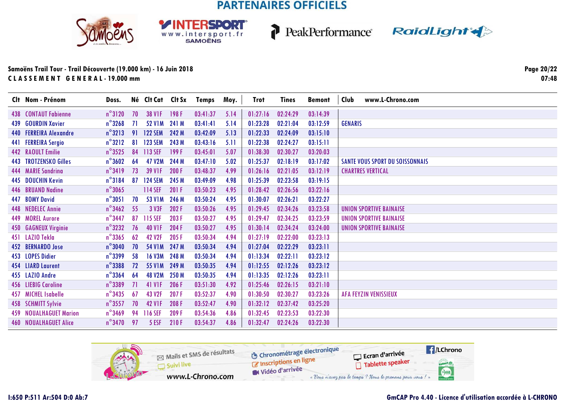**RSDORT** 

WWW.intersport.fr







### **Samoëns Trail Tour - Trail Découverte (19.000 km) - 16 Juin 2018C L A S S E M E N T G E N E R A L - 19.000 mm**

**Page 20/2207:48**

| Clt Nom - Prénom              | Doss.            |     | Né Clt Cat Clt Sx |       | Temps    | Moy. | Trot     | <b>Tines</b> | Bemont   | www.L-Chrono.com<br>Club               |
|-------------------------------|------------------|-----|-------------------|-------|----------|------|----------|--------------|----------|----------------------------------------|
| <b>438 CONTAUT Fabienne</b>   | $n^{\circ}3120$  | 70  | <b>38 V1F</b>     | 198F  | 03:41:37 | 5.14 | 01:27:16 | 02:24:29     | 03:14:39 |                                        |
| 439 GOURDIN Xavier            | $n^{\circ}$ 3268 | -71 | 52 V1M 241 M      |       | 03:41:41 | 5.14 | 01:23:28 | 02:21:04     | 03:12:59 | <b>GENARIS</b>                         |
| 440 FERREIRA Alexandre        | $n^{\circ}3213$  | 91  | <b>122 SEM</b>    | 242 M | 03:42:09 | 5.13 | 01:22:33 | 02:24:09     | 03:15:10 |                                        |
| 441 FERREIRA Sergio           | $n^{\circ}3212$  | 81  | <b>123 SEM</b>    | 243 M | 03:43:16 | 5.11 | 01:22:38 | 02:24:27     | 03:15:11 |                                        |
| 442 RAOULT Emilie             | $n^{\circ}3525$  | 84  | 113 SEF           | 199F  | 03:45:01 | 5.07 | 01:38:30 | 02:30:27     | 03:20:03 |                                        |
| 443 TROTZENSKO Gilles         | $n^{\circ}3602$  | 64  | 47 V2M            | 244 M | 03:47:10 | 5.02 | 01:25:37 | 02:18:19     | 03:17:02 | <b>SANTE VOUS SPORT DU SOISSONNAIS</b> |
| 444 MARIE Sandrina            | $n^{\circ}3419$  | 73  | <b>39 VIF</b>     | 200 F | 03:48:37 | 4.99 | 01:26:16 | 02:21:05     | 03:12:19 | <b>CHARTRES VERTICAL</b>               |
| 445 DOUCHIN Kevin             | $n^{\circ}3184$  | 87  | <b>124 SEM</b>    | 245 M | 03:49:09 | 4.98 | 01:25:39 | 02:23:58     | 03:19:15 |                                        |
| 446 BRUAND Nadine             | $n^{\circ}$ 3065 |     | 114 SEF           | 201 F | 03:50:23 | 4.95 | 01:28:42 | 02:26:56     | 03:22:16 |                                        |
| 447 BOMY David                | $n^{\circ}3051$  | 70  | <b>53 V1M</b>     | 246 M | 03:50:24 | 4.95 | 01:30:07 | 02:26:21     | 03:22:27 |                                        |
| 448 NEDELEC Annie             | $n^{\circ}$ 3462 | 55  | 3 V3F             | 202 F | 03:50:26 | 4.95 | 01:29:45 | 02:34:26     | 03:23:58 | <b>UNION SPORTIVE BAINAISE</b>         |
| 449 MOREL Aurore              | $n^{\circ}$ 3447 | 87  | 115 SEF           | 203F  | 03:50:27 | 4.95 | 01:29:47 | 02:34:25     | 03:23:59 | <b>UNION SPORTIVE BAINAISE</b>         |
| 450 GAGNEUX Virginie          | $n^{\circ}3232$  | 76  | <b>40 V1F</b>     | 204 F | 03:50:27 | 4.95 | 01:30:14 | 02:34:24     | 03:24:00 | <b>UNION SPORTIVE BAINAISE</b>         |
| 451 LAZIO Tekla               | $n^{\circ}$ 3365 | 62  | <b>42 V2F</b>     | 205F  | 03:50:34 | 4.94 | 01:27:19 | 02:22:00     | 03:23:13 |                                        |
| 452 BERNARDO Jose             | $n^{\circ}$ 3040 | 70  | <b>54 V1M</b>     | 247 M | 03:50:34 | 4.94 | 01:27:04 | 02:22:29     | 03:23:11 |                                        |
| 453 LOPES Didier              | $n^{\circ}$ 3399 | 58  | <b>16 V3M</b>     | 248 M | 03:50:34 | 4.94 | 01:13:34 | 02:22:11     | 03:23:12 |                                        |
| 454 LIARD Laurent             | $n^{\circ}$ 3388 | 72  | <b>55 V1M</b>     | 249 M | 03:50:35 | 4.94 | 01:12:55 | 02:12:26     | 03:23:12 |                                        |
| 455 LAZIO Andre               | $n^{\circ}$ 3364 | 64  | <b>48 V2M</b>     | 250 M | 03:50:35 | 4.94 | 01:13:35 | 02:12:26     | 03:23:11 |                                        |
| 456 LIEBIG Caroline           | $n^{\circ}$ 3389 | 71  | 41 V1F            | 206 F | 03:51:30 | 4.92 | 01:25:46 | 02:26:15     | 03:21:10 |                                        |
| 457 MICHEL Isabelle           | $n^{\circ}$ 3435 | 67  | 43 V2F            | 207F  | 03:52:37 | 4.90 | 01:30:50 | 02:30:27     | 03:23:26 | <b>AFA FEYZIN VENISSIEUX</b>           |
| 458 SCHMITT Sylvie            | $n^{\circ}$ 3557 | 70  | <b>42 V1F</b>     | 208 F | 03:52:47 | 4.90 | 01:32:12 | 02:37:42     | 03:25:20 |                                        |
| <b>459 NOUALHAGUET Marion</b> | $n^{\circ}$ 3469 | 94  | 116 SEF           | 209 F | 03:54:36 | 4.86 | 01:32:45 | 02:23:53     | 03:22:30 |                                        |
| <b>460 NOUALHAGUET Alice</b>  | $n^{\circ}$ 3470 | 97  | 5 ESF             | 210F  | 03:54:37 | 4.86 | 01:32:47 | 02:24:26     | 03:22:30 |                                        |

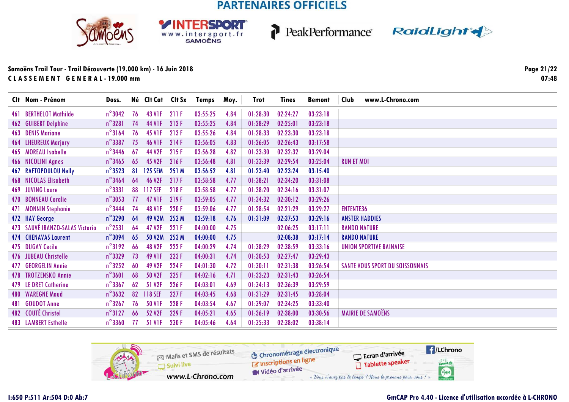**RSDORT** 

WWW.intersport.fr



P



### Samoëns Trail Tour - Trail Découverte (19.000 km) - 16 Juin 2018 CLASSEMENT GENERAL-19.000 mm

Page 21/22  $07:48$ 

| Clt Nom - Prénom                | Doss.            |    | Né Clt Cat Clt Sx  |       | Temps    | Moy. | <b>Trot</b> | <b>Tines</b> | <b>Bemont</b> | www.L-Chrono.com<br>Club               |
|---------------------------------|------------------|----|--------------------|-------|----------|------|-------------|--------------|---------------|----------------------------------------|
| 461 BERTHELOT Mathilde          | $n^{\circ}3042$  | 76 | 43 V1F             | 211F  | 03:55:25 | 4.84 | 01:28:30    | 02:24:27     | 03:23:18      |                                        |
| <b>462 GUIBERT Delphine</b>     | $n^{\circ}3281$  | 74 | 44 V1F             | 212 F | 03:55:25 | 4.84 | 01:28:29    | 02:25:01     | 03:23:18      |                                        |
| 463 DENIS Mariane               | $n^{\circ}3164$  | 76 | 45 V <sub>IF</sub> | 213F  | 03:55:26 | 4.84 | 01:28:33    | 02:23:30     | 03:23:18      |                                        |
| 464 LHEUREUX Marjory            | $n^{\circ}$ 3387 | 75 | <b>46 VIF</b>      | 214 F | 03:56:05 | 4.83 | 01:26:05    | 02:26:43     | 03:17:58      |                                        |
| 465 MOREAU Isabelle             | $n^{\circ}$ 3446 | 67 | 44 V2F             | 215F  | 03:56:28 | 4.82 | 01:33:30    | 02:32:32     | 03:29:04      |                                        |
| 466 NICOLINI Agnes              | $n^{\circ}$ 3465 | 65 | 45 V2F             | 216F  | 03:56:48 | 4.81 | 01:33:39    | 02:29:54     | 03:25:04      | <b>RUN ET MOI</b>                      |
| 467 RAFTOPOULOU Nelly           | $n^{\circ}3523$  | 81 | <b>125 SEM</b>     | 251 M | 03:56:52 | 4.81 | 01:23:40    | 02:23:24     | 03:15:40      |                                        |
| <b>468 NICOLAS Elisabeth</b>    | $n^{\circ}$ 3464 | 64 | <b>46 V2F</b>      | 217F  | 03:58:58 | 4.77 | 01:38:21    | 02:34:20     | 03:31:08      |                                        |
| 469 JUVING Laure                | $n^{\circ}$ 3331 | 88 | 117 SEF            | 218F  | 03:58:58 | 4.77 | 01:38:20    | 02:34:16     | 03:31:07      |                                        |
| 470 BONNEAU Coralie             | $n^{\circ}3053$  | 77 | <b>47 V1F</b>      | 219F  | 03:59:05 | 4.77 | 01:34:32    | 02:30:12     | 03:29:26      |                                        |
| 471 MONNIN Stephanie            | $n^{\circ}$ 3444 | 74 | <b>48 VIF</b>      | 220 F | 03:59:06 | 4.77 | 01:28:54    | 02:21:29     | 03:29:27      | <b>ENTENTE36</b>                       |
| 472 HAY George                  | $n^{\circ}$ 3290 | 64 | <b>49 V2M</b>      | 252 M | 03:59:18 | 4.76 | 01:31:09    | 02:37:53     | 03:29:16      | <b>ANSTER HADDIES</b>                  |
| 473 SAUVÉ IRANZO-SALAS Victoria | $n^{\circ}$ 2531 | 64 | 47 V2F             | 221 F | 04:00:00 | 4.75 |             | 02:06:25     | 03:17:11      | <b>RANDO NATURE</b>                    |
| <b>474 CHENAVAS Laurent</b>     | $n^{\circ}$ 3094 | 65 | <b>50 V2M</b>      | 253 M | 04:00:00 | 4.75 |             | 02:08:38     | 03:17:14      | <b>RANDO NATURE</b>                    |
| 475 DUGAY Cecile                | $n^{\circ}3192$  | 66 | <b>48 V2F</b>      | 222 F | 04:00:29 | 4.74 | 01:38:29    | 02:38:59     | 03:33:16      | <b>UNION SPORTIVE BAINAISE</b>         |
| 476 JUBEAU Christelle           | $n^{\circ}$ 3329 | 73 | 49 V1F             | 223F  | 04:00:31 | 4.74 | 01:30:53    | 02:27:47     | 03:29:43      |                                        |
| 477 GEORGELIN Annie             | $n^{\circ}3252$  | 60 | 49 V2F             | 224 F | 04:01:30 | 4.72 | 01:30:11    | 02:31:38     | 03:26:54      | <b>SANTE VOUS SPORT DU SOISSONNAIS</b> |
| 478 TROTZENSKO Annie            | $n^{\circ}3601$  | 68 | 50 V2F             | 225F  | 04:02:16 | 4.71 | 01:33:23    | 02:31:43     | 03:26:54      |                                        |
| 479 LE DRET Catherine           | $n^{\circ}$ 3367 | 62 | 51 V <sub>2F</sub> | 226 F | 04:03:01 | 4.69 | 01:34:13    | 02:36:39     | 03:29:59      |                                        |
| <b>480 WAREGNE Maud</b>         | $n^{\circ}3632$  | 82 | 118 SEF            | 227F  | 04:03:45 | 4.68 | 01:31:29    | 02:31:45     | 03:28:04      |                                        |
| 481 GOUDOT Anne                 | $n^{\circ}$ 3267 | 76 | <b>50 VIF</b>      | 228 F | 04:03:54 | 4.67 | 01:39:07    | 02:34:25     | 03:33:40      |                                        |
| 482 COUTÉ Christel              | $n^{\circ}3127$  | 66 | 52 V2F             | 229F  | 04:05:21 | 4.65 | 01:36:19    | 02:38:00     | 03:30:56      | <b>MAIRIE DE SAMOËNS</b>               |
| <b>483 LAMBERT Esthelle</b>     | $n^{\circ}$ 3360 | 77 | 51 VIF             | 230 F | 04:05:46 | 4.64 | 01:35:33    | 02:38:02     | 03:38:14      |                                        |